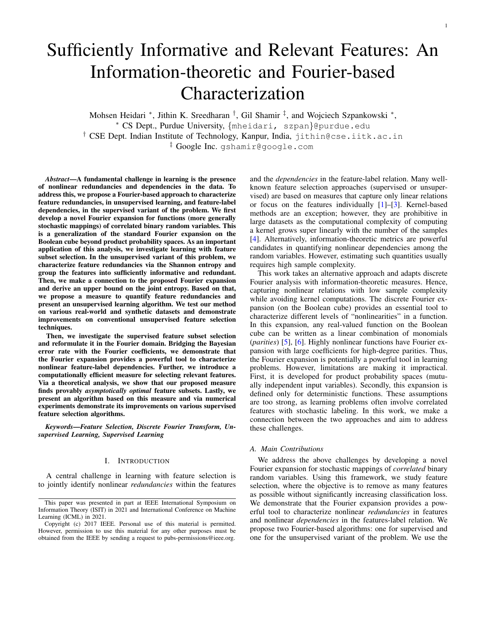# Sufficiently Informative and Relevant Features: An Information-theoretic and Fourier-based Characterization

Mohsen Heidari \*, Jithin K. Sreedharan <sup>†</sup>, Gil Shamir <sup>‡</sup>, and Wojciech Szpankowski \*,

<sup>∗</sup> CS Dept., Purdue University, {mheidari, szpan}@purdue.edu

 $^\dagger$  CSE Dept. Indian Institute of Technology, Kanpur, India,  $\text{jithin@cse.iitk.ac.in}$ 

‡ Google Inc. gshamir@google.com

*Abstract*—A fundamental challenge in learning is the presence of nonlinear redundancies and dependencies in the data. To address this, we propose a Fourier-based approach to characterize feature redundancies, in unsupervised learning, and feature-label dependencies, in the supervised variant of the problem. We first develop a novel Fourier expansion for functions (more generally stochastic mappings) of correlated binary random variables. This is a generalization of the standard Fourier expansion on the Boolean cube beyond product probability spaces. As an important application of this analysis, we investigate learning with feature subset selection. In the unsupervised variant of this problem, we characterize feature redundancies via the Shannon entropy and group the features into sufficiently informative and redundant. Then, we make a connection to the proposed Fourier expansion and derive an upper bound on the joint entropy. Based on that, we propose a measure to quantify feature redundancies and present an unsupervised learning algorithm. We test our method on various real-world and synthetic datasets and demonstrate improvements on conventional unsupervised feature selection techniques.

Then, we investigate the supervised feature subset selection and reformulate it in the Fourier domain. Bridging the Bayesian error rate with the Fourier coefficients, we demonstrate that the Fourier expansion provides a powerful tool to characterize nonlinear feature-label dependencies. Further, we introduce a computationally efficient measure for selecting relevant features. Via a theoretical analysis, we show that our proposed measure finds provably *asymptotically optimal* feature subsets. Lastly, we present an algorithm based on this measure and via numerical experiments demonstrate its improvements on various supervised feature selection algorithms.

*Keywords*—*Feature Selection, Discrete Fourier Transform, Unsupervised Learning, Supervised Learning*

#### I. INTRODUCTION

A central challenge in learning with feature selection is to jointly identify nonlinear *redundancies* within the features

and the *dependencies* in the feature-label relation. Many wellknown feature selection approaches (supervised or unsupervised) are based on measures that capture only linear relations or focus on the features individually [\[1\]](#page-9-0)–[\[3\]](#page-10-0). Kernel-based methods are an exception; however, they are prohibitive in large datasets as the computational complexity of computing a kernel grows super linearly with the number of the samples [\[4\]](#page-10-1). Alternatively, information-theoretic metrics are powerful candidates in quantifying nonlinear dependencies among the random variables. However, estimating such quantities usually requires high sample complexity.

1

This work takes an alternative approach and adapts discrete Fourier analysis with information-theoretic measures. Hence, capturing nonlinear relations with low sample complexity while avoiding kernel computations. The discrete Fourier expansion (on the Boolean cube) provides an essential tool to characterize different levels of "nonlinearities" in a function. In this expansion, any real-valued function on the Boolean cube can be written as a linear combination of monomials (*parities*) [\[5\]](#page-10-2), [\[6\]](#page-10-3). Highly nonlinear functions have Fourier expansion with large coefficients for high-degree parities. Thus, the Fourier expansion is potentially a powerful tool in learning problems. However, limitations are making it impractical. First, it is developed for product probability spaces (mutually independent input variables). Secondly, this expansion is defined only for deterministic functions. These assumptions are too strong, as learning problems often involve correlated features with stochastic labeling. In this work, we make a connection between the two approaches and aim to address these challenges.

## *A. Main Contributions*

We address the above challenges by developing a novel Fourier expansion for stochastic mappings of *correlated* binary random variables. Using this framework, we study feature selection, where the objective is to remove as many features as possible without significantly increasing classification loss. We demonstrate that the Fourier expansion provides a powerful tool to characterize nonlinear *redundancies* in features and nonlinear *dependencies* in the features-label relation. We propose two Fourier-based algorithms: one for supervised and one for the unsupervised variant of the problem. We use the

This paper was presented in part at IEEE International Symposium on Information Theory (ISIT) in 2021 and International Conference on Machine Learning (ICML) in 2021.

Copyright (c) 2017 IEEE. Personal use of this material is permitted. However, permission to use this material for any other purposes must be obtained from the IEEE by sending a request to pubs-permissions@ieee.org.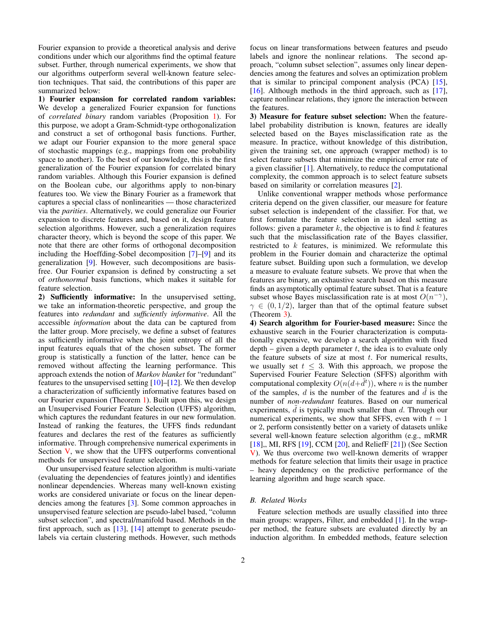Fourier expansion to provide a theoretical analysis and derive conditions under which our algorithms find the optimal feature subset. Further, through numerical experiments, we show that our algorithms outperform several well-known feature selection techniques. That said, the contributions of this paper are summarized below:

1) Fourier expansion for correlated random variables: We develop a generalized Fourier expansion for functions of *correlated binary* random variables (Proposition [1\)](#page-2-0). For this purpose, we adopt a Gram-Schmidt-type orthogonalization and construct a set of orthogonal basis functions. Further, we adapt our Fourier expansion to the more general space of stochastic mappings (e.g., mappings from one probability space to another). To the best of our knowledge, this is the first generalization of the Fourier expansion for correlated binary random variables. Although this Fourier expansion is defined on the Boolean cube, our algorithms apply to non-binary features too. We view the Binary Fourier as a framework that captures a special class of nonlinearities — those characterized via the *parities*. Alternatively, we could generalize our Fourier expansion to discrete features and, based on it, design feature selection algorithms. However, such a generalization requires character theory, which is beyond the scope of this paper. We note that there are other forms of orthogonal decomposition including the Hoeffding-Sobel decomposition [\[7\]](#page-10-4)–[\[9\]](#page-10-5) and its generalization [\[9\]](#page-10-5). However, such decompositions are basisfree. Our Fourier expansion is defined by constructing a set of *orthonormal* basis functions, which makes it suitable for feature selection.

2) Sufficiently informative: In the unsupervised setting, we take an information-theoretic perspective, and group the features into *redundant* and *sufficiently informative*. All the accessible *information* about the data can be captured from the latter group. More precisely, we define a subset of features as sufficiently informative when the joint entropy of all the input features equals that of the chosen subset. The former group is statistically a function of the latter, hence can be removed without affecting the learning performance. This approach extends the notion of *Markov blanket* for "redundant" features to the unsupervised setting  $[10]–[12]$  $[10]–[12]$  $[10]–[12]$ . We then develop a characterization of sufficiently informative features based on our Fourier expansion (Theorem [1\)](#page-4-0). Built upon this, we design an Unsupervised Fourier Feature Selection (UFFS) algorithm, which captures the redundant features in our new formulation. Instead of ranking the features, the UFFS finds redundant features and declares the rest of the features as sufficiently informative. Through comprehensive numerical experiments in Section [V,](#page-7-0) we show that the UFFS outperforms conventional methods for unsupervised feature selection.

Our unsupervised feature selection algorithm is multi-variate (evaluating the dependencies of features jointly) and identifies nonlinear dependencies. Whereas many well-known existing works are considered univariate or focus on the linear dependencies among the features [\[3\]](#page-10-0). Some common approaches in unsupervised feature selection are pseudo-label based, "column subset selection", and spectral/manifold based. Methods in the first approach, such as [\[13\]](#page-10-8), [\[14\]](#page-10-9) attempt to generate pseudolabels via certain clustering methods. However, such methods focus on linear transformations between features and pseudo labels and ignore the nonlinear relations. The second approach, "column subset selection", assumes only linear dependencies among the features and solves an optimization problem that is similar to principal component analysis (PCA) [\[15\]](#page-10-10), [\[16\]](#page-10-11). Although methods in the third approach, such as [\[17\]](#page-10-12), capture nonlinear relations, they ignore the interaction between the features.

3) Measure for feature subset selection: When the featurelabel probability distribution is known, features are ideally selected based on the Bayes misclassification rate as the measure. In practice, without knowledge of this distribution, given the training set, one approach (wrapper method) is to select feature subsets that minimize the empirical error rate of a given classifier [\[1\]](#page-9-0). Alternatively, to reduce the computational complexity, the common approach is to select feature subsets based on similarity or correlation measures [\[2\]](#page-9-1).

Unlike conventional wrapper methods whose performance criteria depend on the given classifier, our measure for feature subset selection is independent of the classifier. For that, we first formulate the feature selection in an ideal setting as follows: given a parameter  $k$ , the objective is to find  $k$  features such that the misclassification rate of the Bayes classifier, restricted to  $k$  features, is minimized. We reformulate this problem in the Fourier domain and characterize the optimal feature subset. Building upon such a formulation, we develop a measure to evaluate feature subsets. We prove that when the features are binary, an exhaustive search based on this measure finds an asymptotically optimal feature subset. That is a feature subset whose Bayes misclassification rate is at most  $O(n^{-\gamma})$ ,  $\gamma \in (0, 1/2)$ , larger than that of the optimal feature subset (Theorem [3\)](#page-6-0).

4) Search algorithm for Fourier-based measure: Since the exhaustive search in the Fourier characterization is computationally expensive, we develop a search algorithm with fixed depth – given a depth parameter  $t$ , the idea is to evaluate only the feature subsets of size at most  $t$ . For numerical results, we usually set  $t \leq 3$ . With this approach, we propose the Supervised Fourier Feature Selection (SFFS) algorithm with computational complexity  $O(n(d+\tilde{d}^t))$ , where n is the number of the samples, d is the number of the features and  $\tilde{d}$  is the number of *non-redundant* features. Based on our numerical experiments,  $\tilde{d}$  is typically much smaller than  $d$ . Through our numerical experiments, we show that SFFS, even with  $t = 1$ or 2, perform consistently better on a variety of datasets unlike several well-known feature selection algorithm (e.g., mRMR [\[18\]](#page-10-13),, MI, RFS [\[19\]](#page-10-14), CCM [\[20\]](#page-10-15), and ReliefF [\[21\]](#page-10-16)) (See Section [V\)](#page-7-0). We thus overcome two well-known demerits of wrapper methods for feature selection that limits their usage in practice – heavy dependency on the predictive performance of the learning algorithm and huge search space.

## *B. Related Works*

Feature selection methods are usually classified into three main groups: wrappers, Filter, and embedded [\[1\]](#page-9-0). In the wrapper method, the feature subsets are evaluated directly by an induction algorithm. In embedded methods, feature selection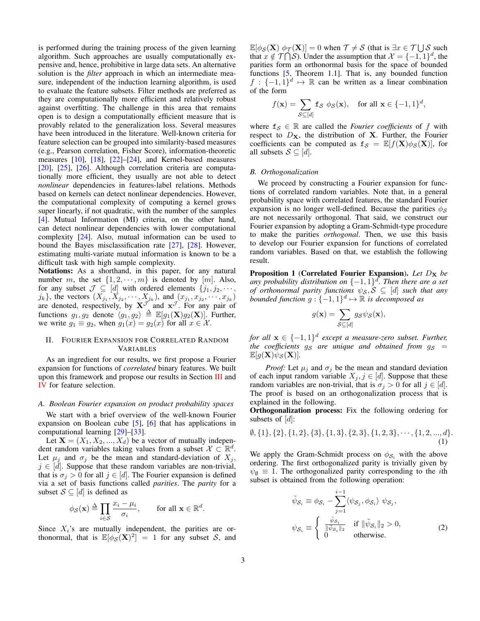is performed during the training process of the given learning algorithm. Such approaches are usually computationally expensive and, hence, prohibitive in large data sets. An alternative solution is the *filter* approach in which an intermediate measure, independent of the induction learning algorithm, is used to evaluate the feature subsets. Filter methods are preferred as they are computationally more efficient and relatively robust against overfitting. The challenge in this area that remains open is to design a computationally efficient measure that is provably related to the generalization loss. Several measures have been introduced in the literature. Well-known criteria for feature selection can be grouped into similarity-based measures (e.g., Pearson correlation, Fisher Score), information-theoretic measures [\[10\]](#page-10-6), [\[18\]](#page-10-13), [\[22\]](#page-10-17)–[\[24\]](#page-10-18), and Kernel-based measures [\[20\]](#page-10-15), [\[25\]](#page-10-19), [\[26\]](#page-10-20). Although correlation criteria are computationally more efficient, they usually are not able to detect *nonlinear* dependencies in features-label relations. Methods based on kernels can detect nonlinear dependencies. However, the computational complexity of computing a kernel grows super linearly, if not quadratic, with the number of the samples [\[4\]](#page-10-1). Mutual Information (MI) criteria, on the other hand, can detect nonlinear dependencies with lower computational complexity [\[24\]](#page-10-18). Also, mutual information can be used to bound the Bayes misclassification rate [\[27\]](#page-10-21), [\[28\]](#page-10-22). However, estimating multi-variate mutual information is known to be a difficult task with high sample complexity.

Notations: As a shorthand, in this paper, for any natural number m, the set  $\{1, 2, \dots, m\}$  is denoted by  $[m]$ . Also, for any subset  $\mathcal{J} \subseteq [d]$  with ordered elements  $\{j_1, j_2, \cdots, j_k\}$  $j_k$ , the vectors  $(X_{j_1}, X_{j_2}, \dots, X_{j_k})$ , and  $(x_{j_1}, x_{j_2}, \dots, x_{j_k})$ are denoted, respectively, by  $X^{\mathcal{J}}$  and  $x^{\mathcal{J}}$ . For any pair of functions  $g_1, g_2$  denote  $\langle g_1, g_2 \rangle \triangleq \mathbb{E}[g_1(\mathbf{X})g_2(\mathbf{X})]$ . Further, we write  $g_1 \equiv g_2$ , when  $g_1(x) = g_2(x)$  for all  $x \in \mathcal{X}$ .

## <span id="page-2-3"></span>II. FOURIER EXPANSION FOR CORRELATED RANDOM VARIABLES

As an ingredient for our results, we first propose a Fourier expansion for functions of *correlated* binary features. We built upon this framework and propose our results in Section [III](#page-3-0) and [IV](#page-6-1) for feature selection.

## *A. Boolean Fourier expansion on product probability spaces*

We start with a brief overview of the well-known Fourier expansion on Boolean cube [\[5\]](#page-10-2), [\[6\]](#page-10-3) that has applications in computational learning [\[29\]](#page-10-23)–[\[33\]](#page-10-24).

Let  $X = (X_1, X_2, ..., X_d)$  be a vector of mutually independent random variables taking values from a subset  $\mathcal{X} \subset \mathbb{R}^d$ . Let  $\mu_i$  and  $\sigma_i$  be the mean and standard-deviation of  $X_i$ ,  $j \in [d]$ . Suppose that these random variables are non-trivial, that is  $\sigma_j > 0$  for all  $j \in [d]$ . The Fourier expansion is defined via a set of basis functions called *parities*. The *parity* for a subset  $S \subseteq [d]$  is defined as

$$
\phi_{\mathcal{S}}(\mathbf{x}) \triangleq \prod_{i \in \mathcal{S}} \frac{x_i - \mu_i}{\sigma_i}, \quad \text{for all } \mathbf{x} \in \mathbb{R}^d.
$$

Since  $X_i$ 's are mutually independent, the parities are orthonormal, that is  $\mathbb{E}[\phi_{\mathcal{S}}(\mathbf{X})^2] = 1$  for any subset S, and

 $\mathbb{E}[\phi_{\mathcal{S}}(\mathbf{X}) \phi_{\mathcal{T}}(\mathbf{X})] = 0$  when  $\mathcal{T} \neq \mathcal{S}$  (that is  $\exists x \in \mathcal{T} \cup \mathcal{S}$  such that  $x \notin \mathcal{T} \cap \mathcal{S}$ ). Under the assumption that  $\mathcal{X} = \{-1, 1\}^d$ , the parities form an orthonormal basis for the space of bounded functions [\[5,](#page-10-2) Theorem 1.1]. That is, any bounded function  $f : \{-1,1\}^d \mapsto \mathbb{R}$  can be written as a linear combination of the form

$$
f(\mathbf{x}) = \sum_{\mathcal{S} \subseteq [d]} \mathbf{f}_{\mathcal{S}} \phi_{\mathcal{S}}(\mathbf{x}), \quad \text{for all } \mathbf{x} \in \{-1, 1\}^d,
$$

where  $f_S \in \mathbb{R}$  are called the *Fourier coefficients* of f with respect to  $D_{\mathbf{X}}$ , the distribution of **X**. Further, the Fourier coefficients can be computed as  $f_S = \mathbb{E}[f(X)\phi_S(X)]$ , for all subsets  $S \subseteq [d]$ .

## *B. Orthogonalization*

We proceed by constructing a Fourier expansion for functions of correlated random variables. Note that, in a general probability space with correlated features, the standard Fourier expansion is no longer well-defined. Because the parities  $\phi_{\mathcal{S}}$ are not necessarily orthogonal. That said, we construct our Fourier expansion by adopting a Gram-Schmidt-type procedure to make the parities *orthogonal*. Then, we use this basis to develop our Fourier expansion for functions of correlated random variables. Based on that, we establish the following result.

<span id="page-2-0"></span>Proposition 1 (Correlated Fourier Expansion). Let  $D_X$  be *any probability distribution on* {−1, 1} d *. Then there are a set of orthonormal parity functions*  $\psi_{\mathcal{S}}, \mathcal{S} \subseteq [d]$  *such that any*  $\stackrel{\text{bounded function}}{=} g : \{-1,1\}^d \mapsto \mathbb{R}$  *is decomposed as* 

$$
g(\mathbf{x}) = \sum_{\mathcal{S} \subseteq [d]} g_{\mathcal{S}} \psi_{\mathcal{S}}(\mathbf{x}),
$$

*for all*  $\mathbf{x} \in \{-1, 1\}^d$  except a measure-zero subset. Further, *the coefficients*  $g_S$  *are unique and obtained from*  $g_S$  *=*  $\mathbb{E}[g(\mathbf{X})\psi_{\mathcal{S}}(\mathbf{X})].$ 

*Proof:* Let  $\mu_i$  and  $\sigma_i$  be the mean and standard deviation of each input random variable  $X_j, j \in [d]$ . Suppose that these random variables are non-trivial, that is  $\sigma_j > 0$  for all  $j \in [d]$ . The proof is based on an orthogonalization process that is explained in the following.

Orthogonalization process: Fix the following ordering for subsets of  $[d]$ :

$$
\emptyset, \{1\}, \{2\}, \{1,2\}, \{3\}, \{1,3\}, \{2,3\}, \{1,2,3\}, \cdots, \{1,2,\ldots,d\}.
$$
\n(1)

We apply the Gram-Schmidt process on  $\phi_{\mathcal{S}_i}$  with the above ordering. The first orthogonalized parity is trivially given by  $\psi_{\emptyset} \equiv 1$ . The orthogonalized parity corresponding to the *i*th subset is obtained from the following operation:

<span id="page-2-2"></span><span id="page-2-1"></span>
$$
\tilde{\psi}_{S_i} \equiv \phi_{S_i} - \sum_{j=1}^{i-1} \langle \psi_{S_j}, \phi_{S_i} \rangle \psi_{S_j},
$$
\n
$$
\psi_{S_i} \equiv \begin{cases}\n\frac{\tilde{\psi}_{S_i}}{\|\tilde{\psi}_{S_i}\|_2} & \text{if } \|\tilde{\psi}_{S_i}\|_2 > 0, \\
0 & \text{otherwise.} \n\end{cases}
$$
\n(2)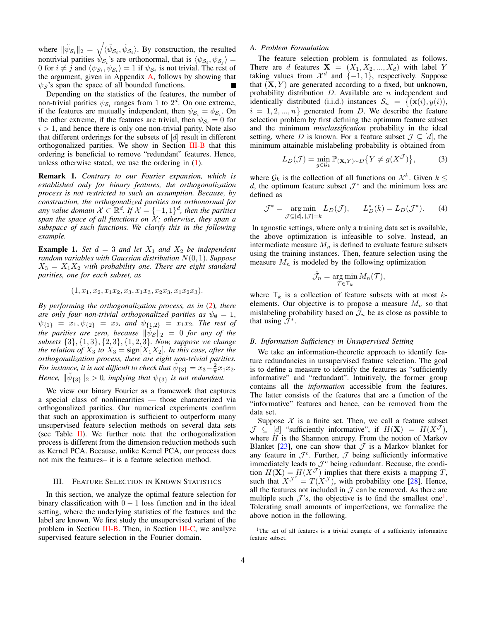where  $\|\tilde{\psi}_{\mathcal{S}_i}\|_2 = \sqrt{\langle \tilde{\psi}_{\mathcal{S}_i}, \tilde{\psi}_{\mathcal{S}_i} \rangle}$ . By construction, the resulted nontrivial parities  $\psi_{\mathcal{S}_i}$ 's are orthonormal, that is  $\langle \psi_{\mathcal{S}_i}, \psi_{\mathcal{S}_j} \rangle =$ 0 for  $i \neq j$  and  $\langle \psi_{\mathcal{S}_i}, \psi_{\mathcal{S}_i} \rangle = 1$  if  $\psi_{\mathcal{S}_i}$  is not trivial. The rest of the argument, given in Appendix [A,](#page-12-0) follows by showing that  $\psi_{\mathcal{S}}$ 's span the space of all bounded functions.

Depending on the statistics of the features, the number of non-trivial parities  $\psi_{\mathcal{S}_i}$  ranges from 1 to  $2^d$ . On one extreme, if the features are mutually independent, then  $\psi_{\mathcal{S}_i} = \phi_{\mathcal{S}_i}$ . On the other extreme, if the features are trivial, then  $\psi_{\mathcal{S}_i} = 0$  for  $i > 1$ , and hence there is only one non-trivial parity. Note also that different orderings for the subsets of [d] result in different orthogonalized parities. We show in Section [III-B](#page-3-1) that this ordering is beneficial to remove "redundant" features. Hence, unless otherwise stated, we use the ordering in [\(1\)](#page-2-1).

Remark 1. *Contrary to our Fourier expansion, which is established only for binary features, the orthogonalization process is not restricted to such an assumption. Because, by construction, the orthogonalized parities are orthonormal for* any value domain  $\mathcal{X} \subset \mathbb{R}^d$ . If  $\mathcal{X} = \{-1,1\}^d$ , then the parities *span the space of all functions on*  $\mathcal{X}$ *; otherwise, they span a subspace of such functions. We clarify this in the following example.*

**Example 1.** *Set*  $d = 3$  *and let*  $X_1$  *and*  $X_2$  *be independent random variables with Gaussian distribution* N(0, 1)*. Suppose*  $X_3 = X_1 X_2$  with probability one. There are eight standard *parities, one for each subset, as*

$$
(1, x_1, x_2, x_1x_2, x_3, x_1x_3, x_2x_3, x_1x_2x_3).
$$

*By performing the orthogonalization process, as in* [\(2\)](#page-2-2)*, there are only four non-trivial orthogonalized parities as*  $\psi_{\emptyset} = 1$ ,  $\psi_{\{1\}} = x_1, \psi_{\{2\}} = x_2$ *, and*  $\psi_{\{1,2\}} = x_1x_2$ *. The rest of the parities are zero, because*  $\|\tilde{\psi}_{\mathcal{S}}\|_2 = 0$  *for any of the subsets* {3}, {1, 3}, {2, 3}, {1, 2, 3}*. Now, suppose we change the relation of*  $X_3$  *to*  $X_3$  = sign[ $X_1X_2$ ]*. In this case, after the orthogonalization process, there are eight non-trivial parities. For instance, it is not difficult to check that*  $\tilde{\psi}_{\{3\}} = x_3 - \frac{2}{\pi} x_1 x_2$ . *Hence,*  $\|\tilde{\psi}_{\{3\}}\|_2 > 0$ , *implying that*  $\psi_{\{3\}}$  *is not redundant.* 

We view our binary Fourier as a framework that captures a special class of nonlinearities — those characterized via orthogonalized parities. Our numerical experiments confirm that such an approximation is sufficient to outperform many unsupervised feature selection methods on several data sets (see Table  $II$ ). We further note that the orthogonalization process is different from the dimension reduction methods such as Kernel PCA. Because, unlike Kernel PCA, our process does not mix the features– it is a feature selection method.

#### <span id="page-3-0"></span>III. FEATURE SELECTION IN KNOWN STATISTICS

In this section, we analyze the optimal feature selection for binary classification with  $0 - 1$  loss function and in the ideal setting, where the underlying statistics of the features and the label are known. We first study the unsupervised variant of the problem in Section [III-B.](#page-3-1) Then, in Section [III-C,](#page-4-1) we analyze supervised feature selection in the Fourier domain.

# *A. Problem Formulation*

The feature selection problem is formulated as follows. There are d features  $X = (X_1, X_2, ..., X_d)$  with label Y taking values from  $\mathcal{X}^d$  and  $\{-1,1\}$ , respectively. Suppose that  $(X, Y)$  are generated according to a fixed, but unknown, probability distribution  $D$ . Available are  $n$  independent and identically distributed (i.i.d.) instances  $S_n = \{(\mathbf{x}(i), y(i)),$  $i = 1, 2, ..., n$  generated from D. We describe the feature selection problem by first defining the optimum feature subset and the minimum *misclassification* probability in the ideal setting, where D is known. For a feature subset  $\mathcal{J} \subseteq [d]$ , the minimum attainable mislabeling probability is obtained from

$$
L_D(\mathcal{J}) = \min_{g \in \mathcal{G}_k} \mathbb{P}(\mathbf{x}, Y) \sim D\{Y \neq g(X^{\mathcal{J}})\},\tag{3}
$$

where  $\mathcal{G}_k$  is the collection of all functions on  $\mathcal{X}^k$ . Given  $k \leq$ d, the optimum feature subset  $\mathcal{J}^*$  and the minimum loss are defined as

$$
\mathcal{J}^* = \underset{\mathcal{J} \subseteq [d], |\mathcal{J}| = k}{\arg \min} L_D(\mathcal{J}), \qquad L_D^*(k) = L_D(\mathcal{J}^*). \tag{4}
$$

In agnostic settings, where only a training data set is available, the above optimization is infeasible to solve. Instead, an intermediate measure  $M_n$  is defined to evaluate feature subsets using the training instances. Then, feature selection using the measure  $M_n$  is modeled by the following optimization

<span id="page-3-3"></span>
$$
\hat{\mathcal{J}}_n = \operatorname*{arg\,min}_{\mathcal{T} \in \mathsf{T}_k} M_n(\mathcal{T}),
$$

where  $\mathsf{T}_k$  is a collection of feature subsets with at most kelements. Our objective is to propose a measure  $M_n$  so that mislabeling probability based on  $\hat{\mathcal{J}}_n$  be as close as possible to that using  $\overline{\mathcal{J}}^*$ .

#### <span id="page-3-1"></span>*B. Information Sufficiency in Unsupervised Setting*

We take an information-theoretic approach to identify feature redundancies in unsupervised feature selection. The goal is to define a measure to identify the features as "sufficiently informative" and "redundant". Intuitively, the former group contains all the *information* accessible from the features. The latter consists of the features that are a function of the "informative" features and hence, can be removed from the data set.

Suppose  $X$  is a finite set. Then, we call a feature subset  $\mathcal{J} \subseteq [d]$  "sufficiently informative", if  $H(\mathbf{X}) = H(X^{\mathcal{J}})$ , where  $H$  is the Shannon entropy. From the notion of Markov Blanket [\[23\]](#page-10-25), one can show that  $\mathcal J$  is a Markov blanket for any feature in  $\mathcal{J}^c$ . Further,  $\mathcal J$  being sufficiently informative immediately leads to  $\mathcal{J}^c$  being redundant. Because, the condition  $H(\mathbf{X}) = H(X^{\mathcal{J}})$  implies that there exists a mapping T, such that  $X^{\mathcal{J}^c} = T(X^{\mathcal{J}})$ , with probability one [\[28\]](#page-10-22). Hence, all the features not included in  $\mathcal J$  can be removed. As there are multiple such  $\mathcal{J}'s$ , the objective is to find the smallest one<sup>[1](#page-3-2)</sup>. Tolerating small amounts of imperfections, we formalize the above notion in the following.

<span id="page-3-2"></span><sup>&</sup>lt;sup>1</sup>The set of all features is a trivial example of a sufficiently informative feature subset.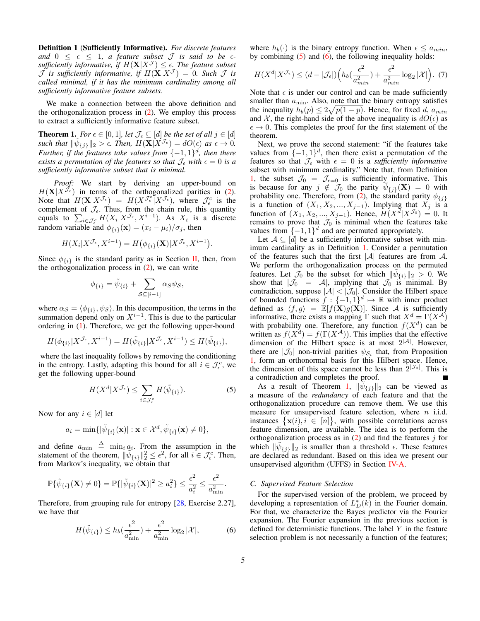<span id="page-4-4"></span>Definition 1 (Sufficiently Informative). *For discrete features and*  $0 \leq \epsilon \leq 1$ *, a feature subset*  $\mathcal{J}$  *is said to be*  $\epsilon$ *sufficiently informative, if*  $H(\mathbf{X}|X^{\mathcal{J}}) \leq \epsilon$ . The feature subset  $\mathcal J$  *is sufficiently informative, if*  $H(\mathbf{X}|X^{\mathcal J}) = 0$ *. Such*  $\mathcal J$  *is called minimal, if it has the minimum cardinality among all sufficiently informative feature subsets.*

We make a connection between the above definition and the orthogonalization process in [\(2\)](#page-2-2). We employ this process to extract a sufficiently informative feature subset.

<span id="page-4-0"></span>**Theorem 1.** *For*  $\epsilon \in [0,1]$ *, let*  $\mathcal{J}_{\epsilon} \subseteq [d]$  *be the set of all*  $j \in [d]$ such that  $\|\tilde{\psi}_{\{j\}}\|_2 > \epsilon$ . Then,  $H(\mathbf{X}|X^{\mathcal{J}_{\epsilon}}) = dO(\epsilon)$  as  $\epsilon \to 0$ . *Further, if the features take values from*  $\{-1,1\}$ <sup>*d*</sup>, then there *exists a permutation of the features so that*  $\mathcal{J}_{\epsilon}$  *with*  $\epsilon = 0$  *is a sufficiently informative subset that is minimal.*

*Proof:* We start by deriving an upper-bound on  $H(\mathbf{X}|X^{\tilde{\mathcal{J}}_{\epsilon}})$  in terms of the orthogonalized parities in [\(2\)](#page-2-2). Note that  $H(\mathbf{X}|X^{\mathcal{J}_{\epsilon}}) = H(X^{\mathcal{J}_{\epsilon}^{c}}|X^{\mathcal{J}_{\epsilon}})$ , where  $\mathcal{J}_{\epsilon}^{c}$  is the complement of  $\mathcal{J}_{\epsilon}$ . Thus, from the chain rule, this quantity equals to  $\sum_{i \in \mathcal{J}_{\epsilon}^c} H(X_i | X^{\mathcal{J}_{\epsilon}}, X^{i-1})$ . As  $X_i$  is a discrete random variable and  $\phi_{\{i\}}(\mathbf{x}) = (x_i - \mu_i)/\sigma_j$ , then

$$
H(X_i|X^{\mathcal{J}_{\epsilon}}, X^{i-1}) = H(\phi_{\{i\}}(\mathbf{X})|X^{\mathcal{J}_{\epsilon}}, X^{i-1}).
$$

Since  $\phi_{\{i\}}$  is the standard parity as in Section [II,](#page-2-3) then, from the orthogonalization process in  $(2)$ , we can write

$$
\phi_{\{i\}} = \tilde{\psi}_{\{i\}} + \sum_{\mathcal{S} \subseteq [i-1]} \alpha_{\mathcal{S}} \psi_{\mathcal{S}},
$$

where  $\alpha_{\mathcal{S}} = \langle \phi_{\{i\}}, \psi_{\mathcal{S}} \rangle$ . In this decomposition, the terms in the summation depend only on  $X^{i-1}$ . This is due to the particular ordering in [\(1\)](#page-2-1). Therefore, we get the following upper-bound

$$
H(\phi_{\{i\}}|X^{\mathcal{J}_{\epsilon}}, X^{i-1}) = H(\tilde{\psi}_{\{i\}}|X^{\mathcal{J}_{\epsilon}}, X^{i-1}) \le H(\tilde{\psi}_{\{i\}}),
$$

where the last inequality follows by removing the conditioning in the entropy. Lastly, adapting this bound for all  $i \in \mathcal{J}_{\epsilon}^c$ , we get the following upper-bound

$$
H(X^d | X^{\mathcal{J}_\epsilon}) \le \sum_{i \in \mathcal{J}_\epsilon^c} H(\tilde{\psi}_{\{i\}}). \tag{5}
$$

Now for any  $i \in [d]$  let

$$
a_i = \min\{|\tilde{\psi}_{\{i\}}(\mathbf{x})| : \mathbf{x} \in \mathcal{X}^d, \tilde{\psi}_{\{i\}}(\mathbf{x}) \neq 0\},\
$$

and define  $a_{\min} \triangleq \min_i a_i$ . From the assumption in the statement of the theorem,  $\|\tilde{\psi}_{\{i\}}\|_2^2 \leq \epsilon^2$ , for all  $i \in \mathcal{J}_{\epsilon}^c$ . Then, from Markov's inequality, we obtain that

$$
\mathbb{P}\{\tilde{\psi}_{\{i\}}(\mathbf{X}) \neq 0\} = \mathbb{P}\{|\tilde{\psi}_{\{i\}}(\mathbf{X})|^2 \ge a_i^2\} \le \frac{\epsilon^2}{a_i^2} \le \frac{\epsilon^2}{a_{\min}^2}.
$$

Therefore, from grouping rule for entropy [\[28,](#page-10-22) Exercise 2.27], we have that

$$
H(\tilde{\psi}_{\{i\}}) \le h_b(\frac{\epsilon^2}{a_{\min}^2}) + \frac{\epsilon^2}{a_{\min}^2} \log_2 |\mathcal{X}|,\tag{6}
$$

where  $h_b(\cdot)$  is the binary entropy function. When  $\epsilon \le a_{min}$ , by combining  $(5)$  and  $(6)$ , the following inequality holds:

$$
H(X^d | X^{\mathcal{J}_\epsilon}) \le (d - |\mathcal{J}_\epsilon|) \left( h_b(\frac{\epsilon^2}{a_{min}^2}) + \frac{\epsilon^2}{a_{min}^2} \log_2 |\mathcal{X}| \right). \tag{7}
$$

Note that  $\epsilon$  is under our control and can be made sufficiently smaller than  $a_{\min}$ . Also, note that the binary entropy satisfies the inequality  $h_b(p) \leq 2\sqrt{p(1-p)}$ . Hence, for fixed d,  $a_{min}$ and X, the right-hand side of the above inequality is  $dO(\epsilon)$  as  $\epsilon \to 0$ . This completes the proof for the first statement of the theorem.

Next, we prove the second statement: "if the features take values from  $\{-1, 1\}$ <sup>d</sup>, then there exist a permutation of the features so that  $\mathcal{J}_{\epsilon}$  with  $\epsilon = 0$  is a *sufficiently informative* subset with minimum cardinality." Note that, from Definition [1,](#page-4-4) the subset  $\mathcal{J}_0 = \mathcal{J}_{\epsilon=0}$  is sufficiently informative. This is because for any  $j \notin \mathcal{J}_0$  the parity  $\tilde{\psi}_{\{j\}}(\mathbf{X}) = 0$  with probability one. Therefore, from [\(2\)](#page-2-2), the standard parity  $\phi_{\{j\}}$ is a function of  $(X_1, X_2, ..., X_{j-1})$ . Implying that  $X_j$  is a function of  $(X_1, X_2, ..., X_{j-1})$ . Hence,  $H(X^d | X^{\mathcal{J}_0}) = 0$ . It remains to prove that  $\mathcal{J}_0$  is minimal when the features take values from  $\{-1, 1\}$ <sup>d</sup> and are permuted appropriately.

Let  $A \subseteq [d]$  be a sufficiently informative subset with minimum cardinality as in Definition [1.](#page-4-4) Consider a permutation of the features such that the first  $|\mathcal{A}|$  features are from  $\mathcal{A}$ . We perform the orthogonalization process on the permuted features. Let  $\mathcal{J}_0$  be the subset for which  $\|\tilde{\psi}_{\{i\}}\|_2 > 0$ . We show that  $|\mathcal{J}_0| = |\mathcal{A}|$ , implying that  $\mathcal{J}_0$  is minimal. By contradiction, suppose  $|\mathcal{A}| < |\mathcal{J}_0|$ . Consider the Hilbert space of bounded functions  $f: \{-1,1\}^d \mapsto \mathbb{R}$  with inner product defined as  $\langle f, g \rangle = \mathbb{E}[f(\mathbf{X})g(\mathbf{X})]$ . Since A is sufficiently informative, there exists a mapping  $\Gamma$  such that  $X^d = \Gamma(X^{\mathcal{A}})$ with probability one. Therefore, any function  $f(X^d)$  can be written as  $f(X^d) = f(\Gamma(X^{\mathcal{A}}))$ . This implies that the effective dimension of the Hilbert space is at most  $2^{|A|}$ . However, there are  $|\mathcal{J}_0|$  non-trivial parities  $\psi_{\mathcal{S}_i}$  that, from Proposition [1,](#page-2-0) form an orthonormal basis for this Hilbert space. Hence, the dimension of this space cannot be less than  $2^{|\mathcal{J}_0|}$ . This is a contradiction and completes the proof.

<span id="page-4-2"></span>As a result of Theorem [1,](#page-4-0)  $\|\widetilde{\psi}_{\{j\}}\|_2$  can be viewed as a measure of the *redundancy* of each feature and that the orthogonalization procedure can remove them. We use this measure for unsupervised feature selection, where  $n$  i.i.d. instances  $\{x(i), i \in [n]\}$ , with possible correlations across feature dimension, are available. The idea is to perform the orthogonalization process as in  $(2)$  and find the features j for which  $\|\tilde{\psi}_{\{j\}}\|_2$  is smaller than a threshold  $\epsilon$ . These features are declared as redundant. Based on this idea we present our unsupervised algorithm (UFFS) in Section [IV-A.](#page-6-2)

## <span id="page-4-1"></span>*C. Supervised Feature Selection*

<span id="page-4-3"></span>For the supervised version of the problem, we proceed by developing a representation of  $L_D^*(k)$  in the Fourier domain. For that, we characterize the Bayes predictor via the Fourier expansion. The Fourier expansion in the previous section is defined for deterministic functions. The label  $Y$  in the feature selection problem is not necessarily a function of the features;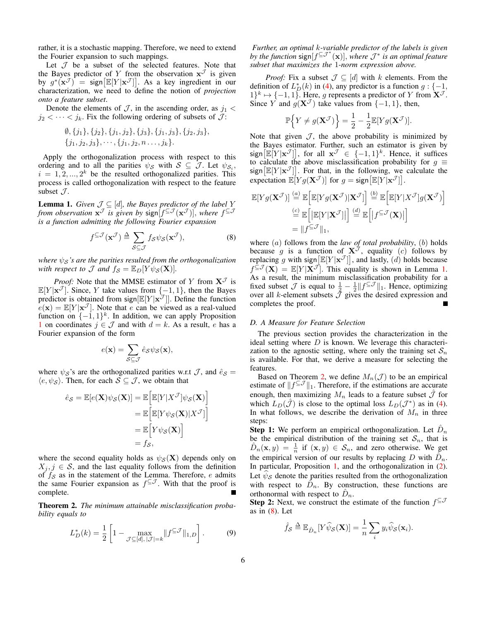rather, it is a stochastic mapping. Therefore, we need to extend the Fourier expansion to such mappings.

Let  $J$  be a subset of the selected features. Note that the Bayes predictor of Y from the observation  $x^{\mathcal{J}}$  is given by  $g^*(\mathbf{x}^{\mathcal{J}})$  = sign  $[\mathbb{E}[Y|\mathbf{x}^{\mathcal{J}}]]$ . As a key ingredient in our characterization, we need to define the notion of *projection onto a feature subset*.

Denote the elements of  $\mathcal{J}$ , in the ascending order, as  $j_1$  <  $j_2 < \cdots < j_k$ . Fix the following ordering of subsets of  $\mathcal{J}$ :

$$
\emptyset, \{j_1\}, \{j_2\}, \{j_1, j_2\}, \{j_3\}, \{j_1, j_3\}, \{j_2, j_3\}, \{j_1, j_2, j_3\}, \cdots, \{j_1, j_2, n \ldots, j_k\}.
$$

Apply the orthogonalization process with respect to this ordering and to all the parities  $\psi_{\mathcal{S}}$  with  $\mathcal{S} \subseteq \mathcal{J}$ . Let  $\psi_{\mathcal{S}_i}$ ,  $i = 1, 2, ..., 2<sup>k</sup>$  be the resulted orthogonalized parities. This process is called orthogonalization with respect to the feature subset  $\mathcal{J}$ .

<span id="page-5-0"></span>**Lemma 1.** *Given*  $\mathcal{J} \subseteq [d]$ *, the Bayes predictor of the label* Y *from observation*  $\mathbf{x}^{\mathcal{J}}$  *is given by sign*  $f^{\subseteq \mathcal{J}}(\mathbf{x}^{\mathcal{J}})$ , where  $f^{\subseteq \mathcal{J}}$ *is a function admitting the following Fourier expansion*

$$
f^{\subseteq \mathcal{J}}(\mathbf{x}^{\mathcal{J}}) \triangleq \sum_{\mathcal{S} \subseteq \mathcal{J}} f_{\mathcal{S}} \psi_{\mathcal{S}}(\mathbf{x}^{\mathcal{J}}),
$$
 (8)

*where*  $\psi_{\mathcal{S}}$ 's are the parities resulted from the orthogonalization *with respect to*  $\mathcal{J}$  *and*  $f_{\mathcal{S}} = \mathbb{E}_D[Y \psi_{\mathcal{S}}(\mathbf{X})]$ *.* 

*Proof:* Note that the MMSE estimator of Y from  $X^{\mathcal{J}}$  is  $\mathbb{E}[Y|\mathbf{x}^{\mathcal{J}}]$ . Since, Y take values from  $\{-1,1\}$ , then the Bayes predictor is obtained from sign $[\mathbb{E}[Y|\mathbf{x}^{\mathcal{J}}]]$ . Define the function  $e(\mathbf{x}) = \mathbb{E}[Y|\mathbf{x}^{\mathcal{J}}]$ . Note that *e* can be viewed as a real-valued function on  $\{-1, 1\}$ <sup>k</sup>. In addition, we can apply Proposition [1](#page-2-0) on coordinates  $j \in \mathcal{J}$  and with  $d = k$ . As a result, e has a Fourier expansion of the form

$$
e(\mathbf{x}) = \sum_{\mathcal{S} \subseteq \mathcal{J}} \hat{e}_{\mathcal{S}} \psi_{\mathcal{S}}(\mathbf{x}),
$$

where  $\psi_{\mathcal{S}}$ 's are the orthogonalized parities w.r.t  $\mathcal{J}$ , and  $\hat{e}_{\mathcal{S}} =$  $\langle e, \psi_{\mathcal{S}} \rangle$ . Then, for each  $\mathcal{S} \subseteq \mathcal{J}$ , we obtain that

$$
\hat{e}_{\mathcal{S}} = \mathbb{E}[e(\mathbf{X})\psi_{\mathcal{S}}(\mathbf{X})] = \mathbb{E}\Big[\mathbb{E}[Y|X^{\mathcal{J}}]\psi_{\mathcal{S}}(\mathbf{X})\Big] \n= \mathbb{E}\Big[\mathbb{E}[Y\psi_{\mathcal{S}}(\mathbf{X})|X^{\mathcal{J}}]\Big] \n= \mathbb{E}\Big[Y\psi_{\mathcal{S}}(\mathbf{X})\Big] \n= f_{\mathcal{S}},
$$

where the second equality holds as  $\psi_{\mathcal{S}}(\mathbf{X})$  depends only on  $X_j, j \in \mathcal{S}$ , and the last equality follows from the definition of  $f_{\mathcal{S}}$  as in the statement of the Lemma. Therefore, e admits the same Fourier expansion as  $f^{\subseteq \mathcal{J}}$ . With that the proof is complete.

<span id="page-5-1"></span>Theorem 2. *The minimum attainable misclassification probability equals to*

<span id="page-5-3"></span>
$$
L_D^*(k) = \frac{1}{2} \left[ 1 - \max_{\mathcal{J} \subseteq [d], |\mathcal{J}| = k} \| f^{\subseteq \mathcal{J}} \|_{1,D} \right].
$$
 (9)

*Further, an optimal* k*-variable predictor of the labels is given by the function*  $\text{sign}[f^{\subseteq J^*}(\mathbf{x})]$ , where  $J^*$  is an optimal feature *subset that maximizes the* 1*-norm expression above.*

*Proof:* Fix a subset  $\mathcal{J} \subseteq [d]$  with k elements. From the definition of  $L_D^*(k)$  in [\(4\)](#page-3-3), any predictor is a function  $g: \{-1, 1\}$  $1\}^{k} \mapsto \{-1, 1\}$ . Here, g represents a predictor of Y from  $\mathbf{X}^{\mathcal{J}}$ . Since Y and  $g(\mathbf{X}^{\mathcal{J}})$  take values from  $\{-1,1\}$ , then,

$$
\mathbb{P}\Big\{Y \neq g(\mathbf{X}^{\mathcal{J}})\Big\} = \frac{1}{2} - \frac{1}{2}\mathbb{E}[Yg(\mathbf{X}^{\mathcal{J}})].
$$

Note that given  $\mathcal{J}$ , the above probability is minimized by the Bayes estimator. Further, such an estimator is given by  $sign[\mathbb{E}[Y|\mathbf{x}^{\mathcal{J}}]]$ , for all  $\mathbf{x}^{\mathcal{J}} \in \{-1,1\}^{k}$ . Hence, it suffices to calculate the above misclassification probability for  $g \equiv$  $sign[\mathbb{E}[Y|\mathbf{x}^{\mathcal{J}}]]$ . For that, in the following, we calculate the expectation  $\mathbb{E}[Y g(\mathbf{X}^{\mathcal{J}})]$  for  $g = \text{sign}[\mathbb{E}[Y | \mathbf{x}^{\mathcal{J}}]].$ 

$$
\mathbb{E}[Y g(\mathbf{X}^{\mathcal{J}})] \stackrel{(a)}{=} \mathbb{E}\Big[\mathbb{E}[Y g(\mathbf{X}^{\mathcal{J}}) | \mathbf{X}^{\mathcal{J}}]\Big] \stackrel{(b)}{=} \mathbb{E}\Big[\mathbb{E}[Y | X^{\mathcal{J}}] g(\mathbf{X}^{\mathcal{J}})\Big]
$$

$$
\stackrel{(c)}{=} \mathbb{E}\Big[\big|\mathbb{E}[Y | \mathbf{X}^{\mathcal{J}}]\big|\Big] \stackrel{(d)}{=} \mathbb{E}\Big[\big|f^{\subseteq \mathcal{J}}(\mathbf{X})\big|\Big]
$$

$$
= \|f^{\subseteq \mathcal{J}}\|_1,
$$

<span id="page-5-2"></span>where (*a*) follows from the *law of total probability*, (*b*) holds because g is a function of  $X^{\mathcal{J}}$ , equality (c) follows by replacing g with sign  $[\mathbb{E}[Y|\mathbf{x}^{\mathcal{J}}]]$ , and lastly,  $(d)$  holds because  $f \in \mathcal{F}(\mathbf{X}) = \mathbb{E}[Y | \mathbf{X}^{\mathcal{J}}]$ . This equality is shown in Lemma [1.](#page-5-0) As a result, the minimum misclassification probability for a fixed subset  $\mathcal J$  is equal to  $\frac{1}{2} - \frac{1}{2} || f \subseteq \mathcal J ||_1$ . Hence, optimizing over all k-element subsets  $\tilde{\mathcal{J}}$  gives the desired expression and completes the proof.

## *D. A Measure for Feature Selection*

The previous section provides the characterization in the ideal setting where  $D$  is known. We leverage this characterization to the agnostic setting, where only the training set  $S_n$ is available. For that, we derive a measure for selecting the features.

Based on Theorem [2,](#page-5-1) we define  $M_n(\mathcal{J})$  to be an empirical estimate of  $||f^{\subseteq \mathcal{J}}||_1$ . Therefore, if the estimations are accurate enough, then maximizing  $M_n$  leads to a feature subset  $\hat{\mathcal{J}}$  for which  $L_D(\hat{J})$  is close to the optimal loss  $L_D(\mathcal{J}^*)$  as in [\(4\)](#page-3-3). In what follows, we describe the derivation of  $M_n$  in three steps:

**Step 1:** We perform an empirical orthogonalization. Let  $\hat{D}_n$ be the empirical distribution of the training set  $S_n$ , that is  $\hat{D}_n(\mathbf{x}, y) = \frac{1}{n}$  if  $(\mathbf{x}, y) \in S_n$ , and zero otherwise. We get the empirical version of our results by replacing D with  $\hat{D}_n$ . In particular, Proposition [1,](#page-2-0) and the orthogonalization in [\(2\)](#page-2-2). Let  $\psi_{\mathcal{S}}$  denote the parities resulted from the orthogonalization with respect to  $\hat{D}_n$ . By construction, these functions are orthonormal with respect to  $\hat{D}_n$ .

**Step 2:** Next, we construct the estimate of the function  $f^{\subseteq J}$ as in  $(8)$ . Let

$$
\hat{f}_{\mathcal{S}} \stackrel{\Delta}{=} \mathbb{E}_{\hat{D}_n}[Y\hat{\psi}_{\mathcal{S}}(\mathbf{X})] = \frac{1}{n} \sum_i y_i \hat{\psi}_{\mathcal{S}}(\mathbf{x}_i).
$$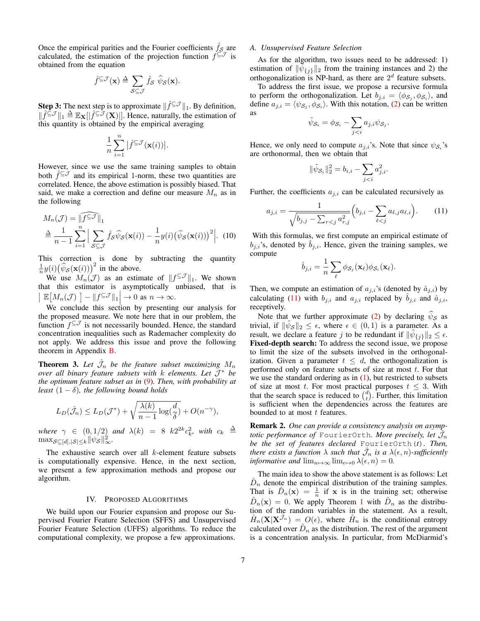Once the empirical parities and the Fourier coefficients  $\hat{f}_s$  are calculated, the estimation of the projection function  $f \in \mathcal{I}$  is obtained from the equation

$$
\hat{f}^{\subseteq \mathcal{J}}(\mathbf{x}) \triangleq \sum_{\mathcal{S} \subseteq \mathcal{J}} \hat{f}_{\mathcal{S}} \ \hat{\psi}_{\mathcal{S}}(\mathbf{x}).
$$

**Step 3:** The next step is to approximate  $\|\hat{f}^{\subseteq J}\|_1$ . By definition,  $\|\hat{f} \leq \mathcal{J}\|_1 \triangleq \mathbb{E}_{\mathbf{X}}[|\hat{f} \leq \mathcal{J}(\mathbf{X})|].$  Hence, naturally, the estimation of this quantity is obtained by the empirical averaging

$$
\frac{1}{n}\sum_{i=1}^n\big|\hat{f}^{\subseteq\mathcal{J}}(\mathbf{x}(i))\big|.
$$

However, since we use the same training samples to obtain both  $\hat{f}^{\subseteq J}$  and its empirical 1-norm, these two quantities are correlated. Hence, the above estimation is possibly biased. That said, we make a correction and define our measure  $M_n$  as in the following

$$
M_n(\mathcal{J}) = \|\widehat{f^{\subseteq \mathcal{J}}}\|_1
$$
  
\n
$$
\stackrel{\Delta}{=} \frac{1}{n-1} \sum_{i=1}^n \Big| \sum_{S \subseteq \mathcal{J}} \widehat{f}_S \widehat{\psi}_S(\mathbf{x}(i)) - \frac{1}{n} y(i) (\widehat{\psi}_S(\mathbf{x}(i)))^2 \Big|.
$$
 (10)

This correction is done by subtracting the quantity  $\frac{1}{n}y(i)(\widehat{\psi}_{\mathcal{S}}(\mathbf{x}(i)))^2$  in the above.

We use  $M_n(\mathcal{J})$  as an estimate of  $||f^{\subseteq \mathcal{J}}||_1$ . We shown that this estimator is asymptotically unbiased, that is  $\Big| \mathbb{E}\big[M_n(\mathcal{J})\big] - \|f^{\subseteq \mathcal{J}}\|_1 \Big| \to 0 \text{ as } n \to \infty.$ 

We conclude this section by presenting our analysis for the proposed measure. We note here that in our problem, the function  $f^{\subseteq \mathcal{J}}$  is not necessarily bounded. Hence, the standard concentration inequalities such as Rademacher complexity do not apply. We address this issue and prove the following theorem in Appendix [B.](#page-12-1)

<span id="page-6-0"></span>**Theorem 3.** Let  $\hat{\mathcal{J}}_n$  be the feature subset maximizing  $M_n$ *over all binary feature subsets with* k *elements. Let* J <sup>∗</sup> *be the optimum feature subset as in* [\(9\)](#page-5-3)*. Then, with probability at least*  $(1 - \delta)$ *, the following bound holds* 

$$
L_D(\hat{\mathcal{J}}_n) \le L_D(\mathcal{J}^*) + \sqrt{\frac{\lambda(k)}{n-1} \log(\frac{d}{\delta})} + O(n^{-\gamma}),
$$

where  $\gamma \in (0,1/2)$  and  $\lambda(k) = 8$   $k2^{2k}c_k^2$ , with  $c_k \triangleq$  $\max_{\mathcal{S} \subseteq [d], |\mathcal{S}| \leq k} \|\psi_{\mathcal{S}}\|_{\infty}^2.$ 

The exhaustive search over all  $k$ -element feature subsets is computationally expensive. Hence, in the next section, we present a few approximation methods and propose our algorithm.

# IV. PROPOSED ALGORITHMS

<span id="page-6-1"></span>We build upon our Fourier expansion and propose our Supervised Fourier Feature Selection (SFFS) and Unsupervised Fourier Feature Selection (UFFS) algorithms. To reduce the computational complexity, we propose a few approximations.

## <span id="page-6-2"></span>*A. Unsupervised Feature Selection*

As for the algorithm, two issues need to be addressed: 1) estimation of  $\|\tilde{\psi}_{\{j\}}\|_2$  from the training instances and 2) the orthogonalization is NP-hard, as there are  $2<sup>d</sup>$  feature subsets.

To address the first issue, we propose a recursive formula to perform the orthogonalization. Let  $b_{j,i} = \langle \phi_{\mathcal{S}_j}, \phi_{\mathcal{S}_i} \rangle$ , and define  $a_{j,i} = \langle \psi_{\mathcal{S}_j}, \phi_{\mathcal{S}_i} \rangle$ . With this notation, [\(2\)](#page-2-2) can be written as

$$
\tilde{\psi}_{\mathcal{S}_i} = \phi_{\mathcal{S}_i} - \sum_{j
$$

Hence, we only need to compute  $a_{j,i}$ 's. Note that since  $\psi_{\mathcal{S}_i}$ 's are orthonormal, then we obtain that

<span id="page-6-3"></span>
$$
\|\tilde{\psi}_{\mathcal{S}_i}\|_2^2 = b_{i,i} - \sum_{j
$$

Further, the coefficients  $a_{j,i}$  can be calculated recursively as

$$
a_{j,i} = \frac{1}{\sqrt{b_{j,j} - \sum_{r < j} a_{r,j}^2}} \left( b_{j,i} - \sum_{\ell < j} a_{\ell,j} a_{\ell,i} \right). \tag{11}
$$

<span id="page-6-4"></span>With this formulas, we first compute an empirical estimate of  $b_{j,i}$ 's, denoted by  $b_{j,i}$ . Hence, given the training samples, we compute

$$
\hat{b}_{j,i} = \frac{1}{n} \sum_{\ell} \phi_{\mathcal{S}_j}(\mathbf{x}_{\ell}) \phi_{\mathcal{S}_i}(\mathbf{x}_{\ell}).
$$

Then, we compute an estimation of  $a_{j,i}$ 's (denoted by  $\hat{a}_{j,i}$ ) by calculating [\(11\)](#page-6-3) with  $b_{j,i}$  and  $a_{j,i}$ , replaced by  $b_{j,i}$  and  $\hat{a}_{j,i}$ , receptively.

Note that we further approximate [\(2\)](#page-2-2) by declaring  $\psi_{\mathcal{S}}$  as trivial, if  $\|\tilde{\psi}_{\mathcal{S}}\|_2 \leq \epsilon$ , where  $\epsilon \in (0,1)$  is a parameter. As a result, we declare a feature j to be redundant if  $\|\tilde{\psi}_{\{j\}}\|_2 \leq \epsilon$ . Fixed-depth search: To address the second issue, we propose to limit the size of the subsets involved in the orthogonalization. Given a parameter  $t \leq d$ , the orthogonalization is performed only on feature subsets of size at most  $t$ . For that we use the standard ordering as in  $(1)$ , but restricted to subsets of size at most t. For most practical purposes  $t \leq 3$ . With that the search space is reduced to  $\binom{d}{t}$ . Further, this limitation is sufficient when the dependencies across the features are bounded to at most  $t$  features.

Remark 2. *One can provide a consistency analysis on asymp* $t$ otic performance of  $_{\rm{FourierOrth}}$  More precisely, let  $\hat{\mathcal{J}}_n$ *be the set of features declared* FourierOrth(*t*)*. Then,* there exists a function  $\lambda$  such that  $\hat{\mathcal{J}}_n$  is a  $\lambda(\epsilon,n)$ -sufficiently *informative and*  $\lim_{n\mapsto\infty} \lim_{\epsilon\mapsto 0} \lambda(\epsilon, n) = 0$ .

The main idea to show the above statement is as follows: Let  $\hat{D}_n$  denote the empirical distribution of the training samples. That is  $\hat{D}_n(\mathbf{x}) = \frac{1}{n}$  if **x** is in the training set; otherwise  $\hat{D}_n(\mathbf{x}) = 0$ . We apply Theorem [1](#page-4-0) with  $\hat{D}_n$  as the distribution of the random variables in the statement. As a result,  $\hat{H}_n(\mathbf{X}|\mathbf{X}^{\hat{\mathcal{J}}_n}) = O(\epsilon)$ , where  $\hat{H}_n$  is the conditional entropy calculated over  $\hat{D}_n$  as the distribution. The rest of the argument is a concentration analysis. In particular, from McDiarmid's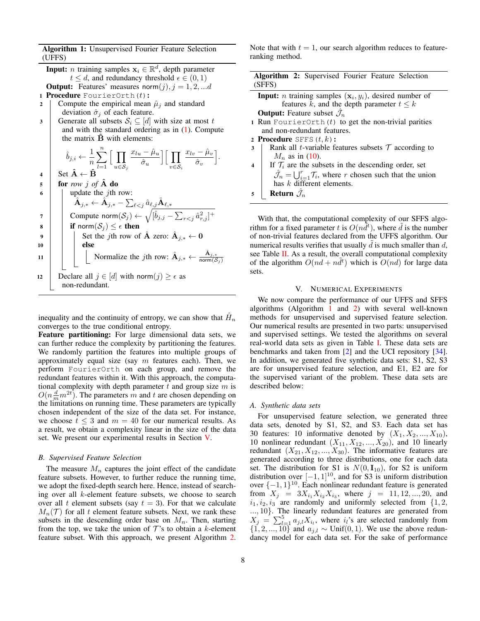Algorithm 1: Unsupervised Fourier Feature Selection (UFFS)

<span id="page-7-2"></span>**Input:** *n* training samples  $x_i \in \mathbb{R}^d$ , depth parameter  $t \leq d$ , and redundancy threshold  $\epsilon \in (0,1)$ **Output:** Features' measures norm $(j), j = 1, 2, \dots d$ 1 Procedure FourierOrth $(t)$ :

- 2 Compute the empirical mean  $\hat{\mu}_i$  and standard deviation  $\hat{\sigma}_i$  of each feature.
- 3 Generate all subsets  $S_i \subseteq [d]$  with size at most t and with the standard ordering as in  $(1)$ . Compute the matrix  $\ddot{\mathbf{B}}$  with elements:

$$
\hat{b}_{j,i} \leftarrow \frac{1}{n} \sum_{l=1}^n \Big[ \prod_{u \in S_j} \frac{x_{lu} - \hat{\mu}_u}{\hat{\sigma}_u} \Big] \Big[ \prod_{v \in S_i} \frac{x_{lv} - \hat{\mu}_v}{\hat{\sigma}_v} \Big].
$$

 $\mathbf{5}$  **for** *row j* of **A** do  $\bullet$  | | update the *j*th row:  $\hat{\textbf{A}}_{j,*} \leftarrow \hat{\textbf{A}}_{j,*} - \sum_{\ell < j} \hat{a}_{\ell,j} \hat{\textbf{A}}_{\ell,*}$  $\tau \quad \Big\vert \quad \Big\vert \quad \text{Compute norm} (\mathcal{S}_j) \leftarrow \sqrt{[\hat{b}_{j,j} - \sum_{r < j} \hat{a}_{r,j}^2]^+}$ 8 if norm $(S_i) \leq \epsilon$  then  $\mathsf{9} \quad | \quad | \quad \mathsf{Set} \text{ the } j\text{th row of } \hat{\mathbf{A}} \text{ zero: } \hat{\mathbf{A}}_{j,*} \leftarrow \mathbf{0}$  $10$  else 11 | | Normalize the jth row:  $\hat{A}_{j,*} \leftarrow \frac{\hat{A}_{j,*}}{\text{norm}(S)}$  $\mathsf{norm}(\mathcal{S}_j)$ 12 Declare all  $j \in [d]$  with norm $(j) \ge \epsilon$  as non-redundant.

inequality and the continuity of entropy, we can show that  $\hat{H}_n$ converges to the true conditional entropy.

Feature partitioning: For large dimensional data sets, we can further reduce the complexity by partitioning the features. We randomly partition the features into multiple groups of approximately equal size (say  $m$  features each). Then, we perform FourierOrth on each group, and remove the redundant features within it. With this approach, the computational complexity with depth parameter  $t$  and group size  $m$  is  $O(n\frac{d}{m}m^{2t})$ . The parameters m and t are chosen depending on the limitations on running time. These parameters are typically chosen independent of the size of the data set. For instance, we choose  $t \leq 3$  and  $m = 40$  for our numerical results. As a result, we obtain a complexity linear in the size of the data set. We present our experimental results in Section [V.](#page-7-0)

#### *B. Supervised Feature Selection*

The measure  $M_n$  captures the joint effect of the candidate feature subsets. However, to further reduce the running time, we adopt the fixed-depth search here. Hence, instead of searching over all k-element feature subsets, we choose to search over all t element subsets (say  $t = 3$ ). For that we calculate  $M_n(\mathcal{T})$  for all t element feature subsets. Next, we rank these subsets in the descending order base on  $M_n$ . Then, starting from the top, we take the union of  $\mathcal{T}$ 's to obtain a k-element feature subset. With this approach, we present Algorithm [2.](#page-7-1) Note that with  $t = 1$ , our search algorithm reduces to featureranking method.

<span id="page-7-1"></span>

| Algorithm 2: Supervised Fourier Feature Selection                                          |  |
|--------------------------------------------------------------------------------------------|--|
| (SFFS)                                                                                     |  |
| <b>Input:</b> <i>n</i> training samples $(x_i, y_i)$ , desired number of                   |  |
| features k, and the depth parameter $t \leq k$                                             |  |
| <b>Output:</b> Feature subset $\mathcal{J}_n$                                              |  |
| 1 Run FourierOrth $(t)$ to get the non-trivial parities                                    |  |
| and non-redundant features.                                                                |  |
| 2 Procedure SFFS $(t, k)$ :                                                                |  |
| Rank all <i>t</i> -variable features subsets $\mathcal T$ according to<br>3                |  |
| $M_n$ as in (10).                                                                          |  |
| If $\mathcal{T}_i$ are the subsets in the descending order, set<br>$\overline{4}$          |  |
| $\hat{\mathcal{J}}_n = \bigcup_{i=1}^r \mathcal{T}_i$ , where r chosen such that the union |  |
| has $k$ different elements.                                                                |  |
| <b>Return</b> $\hat{\mathcal{J}}_n$<br>5                                                   |  |
|                                                                                            |  |
|                                                                                            |  |

With that, the computational complexity of our SFFS algorithm for a fixed parameter t is  $O(n\tilde{d}^t)$ , where  $\tilde{d}$  is the number of non-trivial features declared from the UFFS algorithm. Our numerical results verifies that usually  $\tilde{d}$  is much smaller than  $d$ , see Table [II.](#page-8-0) As a result, the overall computational complexity of the algorithm  $O(nd + n\tilde{d}^t)$  which is  $O(nd)$  for large data sets.

#### V. NUMERICAL EXPERIMENTS

<span id="page-7-0"></span>We now compare the performance of our UFFS and SFFS algorithms (Algorithm [1](#page-7-2) and [2\)](#page-7-1) with several well-known methods for unsupervised and supervised feature selection. Our numerical results are presented in two parts: unsupervised and supervised settings. We tested the algorithms on several real-world data sets as given in Table [I.](#page-8-1) These data sets are benchmarks and taken from [\[2\]](#page-9-1) and the UCI repository [\[34\]](#page-10-26). In addition, we generated five synthetic data sets: S1, S2, S3 are for unsupervised feature selection, and E1, E2 are for the supervised variant of the problem. These data sets are described below:

## *A. Synthetic data sets*

For unsupervised feature selection, we generated three data sets, denoted by S1, S2, and S3. Each data set has 30 features: 10 informative denoted by  $(X_1, X_2, ..., X_{10})$ , 10 nonlinear redundant  $(X_{11}, X_{12}, ..., X_{20})$ , and 10 linearly redundant  $(X_{21}, X_{12}, ..., X_{30})$ . The informative features are generated according to three distributions, one for each data set. The distribution for S1 is  $N(0, I_{10})$ , for S2 is uniform distribution over  $[-1, 1]^{10}$ , and for S3 is uniform distribution over  $\{-1, 1\}^{10}$ . Each nonlinear redundant feature is generated from  $X_j = 3X_{i_1}X_{i_2}X_{i_3}$ , where  $j = 11, 12, ..., 20$ , and  $i_1, i_2, i_3$  are randomly and uniformly selected from  $\{1, 2,$ ..., 10}. The linearly redundant features are generated from  $X_j = \sum_{l=1}^5 a_{j,l} X_{i_l}$ , where  $i_l$ 's are selected randomly from  $\{1, 2, ..., 10\}$  and  $a_{j,l} \sim \text{Unif}(0, 1)$ . We use the above redundancy model for each data set. For the sake of performance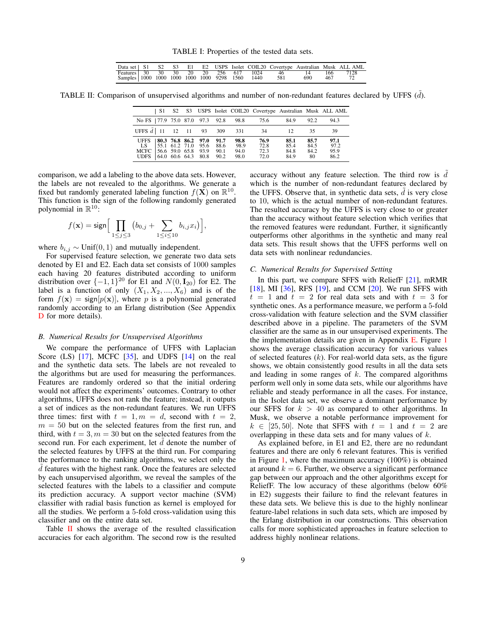TABLE I: Properties of the tested data sets.

|  |  |  |  |                                                   |                                                |     |     | Data set   S1 S2 S3 E1 E2 USPS Isolet COIL20 Covertype Australian Musk ALL AML |
|--|--|--|--|---------------------------------------------------|------------------------------------------------|-----|-----|--------------------------------------------------------------------------------|
|  |  |  |  |                                                   | Features 30 30 30 20 20 256 617 1024 46 14 166 |     |     | 7128                                                                           |
|  |  |  |  | Samples   1000 1000 1000 1000 1000 9298 1560 1440 | - 581                                          | 690 | 467 |                                                                                |

<span id="page-8-1"></span><span id="page-8-0"></span>TABLE II: Comparison of unsupervised algorithms and number of non-redundant features declared by UFFS  $(d)$ .

|                                                               | - S1 - |  |                                                                          |                        |                                            |                              |                              |                             | S2 S3 USPS Isolet COIL20 Covertype Australian Musk ALL AML |
|---------------------------------------------------------------|--------|--|--------------------------------------------------------------------------|------------------------|--------------------------------------------|------------------------------|------------------------------|-----------------------------|------------------------------------------------------------|
|                                                               |        |  |                                                                          |                        | No FS   77.9 75.0 87.0 97.3 92.8 98.8 75.6 |                              | 84.9                         | 92.2                        | 94.3                                                       |
| UFFS $\tilde{d}$ 11 12 11 93 309                              |        |  |                                                                          |                        | 331                                        | 34                           | 12 <sup>°</sup>              | 35.                         | 39                                                         |
| <b>UFFS</b><br>LS.<br>MCFC 56.6 59.0 65.8 93.9<br><b>UDES</b> |        |  | 80.3 76.8 86.2 97.0<br>  55.1 61.2 71.0 95.6 88.6<br>64.0 60.6 64.3 80.8 | - 91.7<br>90.1<br>90.2 | 98.8<br>98.9<br>94.0<br>98.0               | 76.9<br>72.8<br>72.3<br>72.0 | 85.1<br>85.4<br>84.8<br>84.9 | 85.7<br>84.5<br>84.2<br>-80 | 97.1<br>97.2<br>95.9<br>86.2                               |

comparison, we add a labeling to the above data sets. However, the labels are not revealed to the algorithms. We generate a fixed but randomly generated labeling function  $f(\mathbf{X})$  on  $\mathbb{R}^{10}$ . This function is the sign of the following randomly generated polynomial in  $\mathbb{R}^{10}$ :

$$
f(\mathbf{x}) = \mathsf{sign}\Big[\prod_{1 \leq j \leq 3} \big(b_{0,j} + \sum_{1 \leq i \leq 10} b_{i,j} x_i\big)\Big],
$$

where  $b_{i,j} \sim \text{Unif}(0, 1)$  and mutually independent.

For supervised feature selection, we generate two data sets denoted by E1 and E2. Each data set consists of 1000 samples each having 20 features distributed according to uniform distribution over  $\{-1, 1\}^{20}$  for E1 and  $N(0, I_{20})$  for E2. The label is a function of only  $(X_1, X_2, ..., X_6)$  and is of the form  $f(\mathbf{x}) = \text{sign}[p(\mathbf{x})]$ , where p is a polynomial generated randomly according to an Erlang distribution (See Appendix [D](#page-15-0) for more details).

#### *B. Numerical Results for Unsupervised Algorithms*

We compare the performance of UFFS with Laplacian Score (LS) [\[17\]](#page-10-12), MCFC [\[35\]](#page-10-27), and UDFS [\[14\]](#page-10-9) on the real and the synthetic data sets. The labels are not revealed to the algorithms but are used for measuring the performances. Features are randomly ordered so that the initial ordering would not affect the experiments' outcomes. Contrary to other algorithms, UFFS does not rank the feature; instead, it outputs a set of indices as the non-redundant features. We run UFFS three times: first with  $t = 1, m = d$ , second with  $t = 2$ ,  $m = 50$  but on the selected features from the first run, and third, with  $t = 3, m = 30$  but on the selected features from the second run. For each experiment, let  $d$  denote the number of the selected features by UFFS at the third run. For comparing the performance to the ranking algorithms, we select only the  $d$  features with the highest rank. Once the features are selected by each unsupervised algorithm, we reveal the samples of the selected features with the labels to a classifier and compute its prediction accuracy. A support vector machine (SVM) classifier with radial basis function as kernel is employed for all the studies. We perform a 5-fold cross-validation using this classifier and on the entire data set.

Table [II](#page-8-0) shows the average of the resulted classification accuracies for each algorithm. The second row is the resulted accuracy without any feature selection. The third row is  $d$ which is the number of non-redundant features declared by the UFFS. Observe that, in synthetic data sets,  $d$  is very close to 10, which is the actual number of non-redundant features. The resulted accuracy by the UFFS is very close to or greater than the accuracy without feature selection which verifies that the removed features were redundant. Further, it significantly outperforms other algorithms in the synthetic and many real data sets. This result shows that the UFFS performs well on data sets with nonlinear redundancies.

#### *C. Numerical Results for Supervised Setting*

In this part, we compare SFFS with ReliefF [\[21\]](#page-10-16), mRMR [\[18\]](#page-10-13), MI [\[36\]](#page-11-0), RFS [\[19\]](#page-10-14), and CCM [\[20\]](#page-10-15). We run SFFS with  $t = 1$  and  $t = 2$  for real data sets and with  $t = 3$  for synthetic ones. As a performance measure, we perform a 5-fold cross-validation with feature selection and the SVM classifier described above in a pipeline. The parameters of the SVM classifier are the same as in our unsupervised experiments. The the implementation details are given in Appendix [E.](#page-15-1) Figure [1](#page-9-2) shows the average classification accuracy for various values of selected features  $(k)$ . For real-world data sets, as the figure shows, we obtain consistently good results in all the data sets and leading in some ranges of  $k$ . The compared algorithms perform well only in some data sets, while our algorithms have reliable and steady performance in all the cases. For instance, in the Isolet data set, we observe a dominant performance by our SFFS for  $k > 40$  as compared to other algorithms. In Musk, we observe a notable performance improvement for  $k \in [25, 50]$ . Note that SFFS with  $t = 1$  and  $t = 2$  are overlapping in these data sets and for many values of k.

As explained before, in E1 and E2, there are no redundant features and there are only 6 relevant features. This is verified in Figure [1,](#page-9-2) where the maximum accuracy (100%) is obtained at around  $k = 6$ . Further, we observe a significant performance gap between our approach and the other algorithms except for ReliefF. The low accuracy of these algorithms (below 60% in E2) suggests their failure to find the relevant features in these data sets. We believe this is due to the highly nonlinear feature-label relations in such data sets, which are imposed by the Erlang distribution in our constructions. This observation calls for more sophisticated approaches in feature selection to address highly nonlinear relations.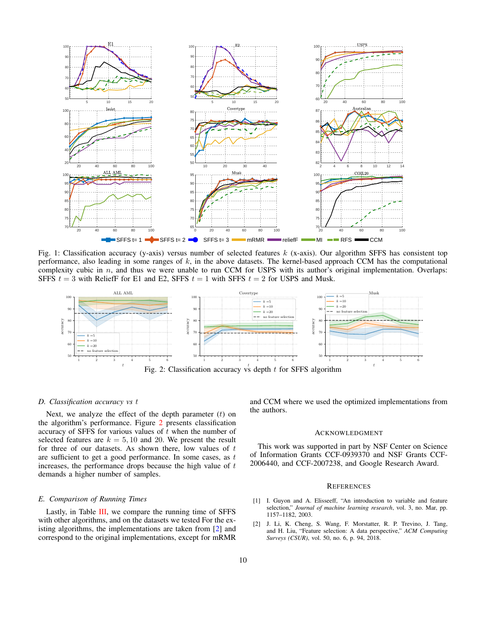<span id="page-9-2"></span>

Fig. 1: Classification accuracy (y-axis) versus number of selected features  $k$  (x-axis). Our algorithm SFFS has consistent top performance, also leading in some ranges of  $k$ , in the above datasets. The kernel-based approach CCM has the computational complexity cubic in  $n$ , and thus we were unable to run CCM for USPS with its author's original implementation. Overlaps: SFFS  $t = 3$  with ReliefF for E1 and E2, SFFS  $t = 1$  with SFFS  $t = 2$  for USPS and Musk.

<span id="page-9-3"></span>

## *D. Classification accuracy vs* t

Next, we analyze the effect of the depth parameter  $(t)$  on the algorithm's performance. Figure [2](#page-9-3) presents classification accuracy of SFFS for various values of  $t$  when the number of selected features are  $k = 5, 10$  and 20. We present the result for three of our datasets. As shown there, low values of  $t$ are sufficient to get a good performance. In some cases, as  $t$ increases, the performance drops because the high value of  $t$ demands a higher number of samples.

## *E. Comparison of Running Times*

Lastly, in Table [III,](#page-10-28) we compare the running time of SFFS with other algorithms, and on the datasets we tested For the existing algorithms, the implementations are taken from [\[2\]](#page-9-1) and correspond to the original implementations, except for mRMR and CCM where we used the optimized implementations from the authors.

#### **ACKNOWLEDGMENT**

This work was supported in part by NSF Center on Science of Information Grants CCF-0939370 and NSF Grants CCF-2006440, and CCF-2007238, and Google Research Award.

#### **REFERENCES**

- <span id="page-9-0"></span>[1] I. Guyon and A. Elisseeff, "An introduction to variable and feature selection," *Journal of machine learning research*, vol. 3, no. Mar, pp. 1157–1182, 2003.
- <span id="page-9-1"></span>[2] J. Li, K. Cheng, S. Wang, F. Morstatter, R. P. Trevino, J. Tang, and H. Liu, "Feature selection: A data perspective," *ACM Computing Surveys (CSUR)*, vol. 50, no. 6, p. 94, 2018.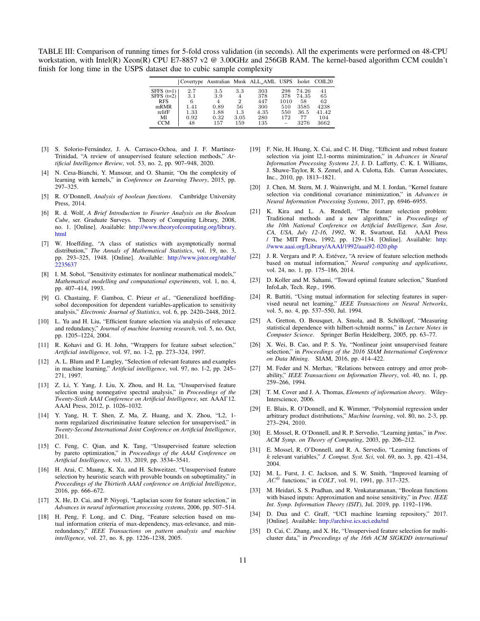<span id="page-10-28"></span>TABLE III: Comparison of running times for 5-fold cross validation (in seconds). All the experiments were performed on 48-CPU workstation, with Intel(R) Xeon(R) CPU E7-8857 v2 @ 3.00GHz and 256GB RAM. The kernel-based algorithm CCM couldn't finish for long time in the USPS dataset due to cubic sample complexity

|              |      |      |                | Covertype Australian Musk ALL_AML USPS Isolet COIL20 |      |       |       |
|--------------|------|------|----------------|------------------------------------------------------|------|-------|-------|
| SFFS $(t=1)$ | 2.7  | 3.5  | 3.3            | 303                                                  | 298  | 74.26 | 41    |
| SFFS $(t=2)$ | 3.1  | 3.9  | $\overline{4}$ | 378                                                  | 378  | 74.35 | 65    |
| <b>RFS</b>   | 6    | 4    | 2              | 447                                                  | 1010 | 58    | 62    |
| mRMR         | 1.41 | 0.89 | 56             | 300                                                  | 510  | 3585  | 4238  |
| relifF       | 1.33 | 1.88 | 1.3            | 4.35                                                 | 550  | 36.5  | 41.42 |
| МÏ           | 0.92 | 0.32 | 3.05           | 280                                                  | 172  | 77    | 104   |
| CCM          | 48   | 157  | 159            | 135                                                  |      | 3276  | 3662  |

- <span id="page-10-0"></span>[3] S. Solorio-Fernández, J. A. Carrasco-Ochoa, and J. F. Martínez-Trinidad, "A review of unsupervised feature selection methods," *Artificial Intelligence Review*, vol. 53, no. 2, pp. 907–948, 2020.
- <span id="page-10-1"></span>[4] N. Cesa-Bianchi, Y. Mansour, and O. Shamir, "On the complexity of learning with kernels," in *Conference on Learning Theory*, 2015, pp. 297–325.
- <span id="page-10-2"></span>[5] R. O'Donnell, *Analysis of boolean functions*. Cambridge University Press, 2014.
- <span id="page-10-3"></span>[6] R. d. Wolf, *A Brief Introduction to Fourier Analysis on the Boolean Cube*, ser. Graduate Surveys. Theory of Computing Library, 2008, no. 1. [Online]. Available: [http://www.theoryofcomputing.org/library.](http://www.theoryofcomputing.org/library.html) [html](http://www.theoryofcomputing.org/library.html)
- <span id="page-10-4"></span>[7] W. Hoeffding, "A class of statistics with asymptotically normal distribution," *The Annals of Mathematical Statistics*, vol. 19, no. 3, pp. 293–325, 1948. [Online]. Available: [http://www.jstor.org/stable/](http://www.jstor.org/stable/2235637) [2235637](http://www.jstor.org/stable/2235637)
- [8] I. M. Sobol, "Sensitivity estimates for nonlinear mathematical models," *Mathematical modelling and computational experiments*, vol. 1, no. 4, pp. 407–414, 1993.
- <span id="page-10-5"></span>[9] G. Chastaing, F. Gamboa, C. Prieur *et al.*, "Generalized hoeffdingsobol decomposition for dependent variables-application to sensitivity analysis," *Electronic Journal of Statistics*, vol. 6, pp. 2420–2448, 2012.
- <span id="page-10-6"></span>[10] L. Yu and H. Liu, "Efficient feature selection via analysis of relevance and redundancy," *Journal of machine learning research*, vol. 5, no. Oct, pp. 1205–1224, 2004.
- [11] R. Kohavi and G. H. John, "Wrappers for feature subset selection," *Artificial intelligence*, vol. 97, no. 1-2, pp. 273–324, 1997.
- <span id="page-10-7"></span>[12] A. L. Blum and P. Langley, "Selection of relevant features and examples in machine learning," *Artificial intelligence*, vol. 97, no. 1-2, pp. 245– 271, 1997.
- <span id="page-10-8"></span>[13] Z. Li, Y. Yang, J. Liu, X. Zhou, and H. Lu, "Unsupervised feature selection using nonnegative spectral analysis," in *Proceedings of the Twenty-Sixth AAAI Conference on Artificial Intelligence*, ser. AAAI'12. AAAI Press, 2012, p. 1026–1032.
- <span id="page-10-9"></span>[14] Y. Yang, H. T. Shen, Z. Ma, Z. Huang, and X. Zhou, "L2, 1 norm regularized discriminative feature selection for unsupervised," in *Twenty-Second International Joint Conference on Artificial Intelligence*, 2011.
- <span id="page-10-10"></span>[15] C. Feng, C. Qian, and K. Tang, "Unsupervised feature selection by pareto optimization," in *Proceedings of the AAAI Conference on Artificial Intelligence*, vol. 33, 2019, pp. 3534–3541.
- <span id="page-10-11"></span>[16] H. Arai, C. Maung, K. Xu, and H. Schweitzer, "Unsupervised feature selection by heuristic search with provable bounds on suboptimality," in *Proceedings of the Thirtieth AAAI conference on Artificial Intelligence*, 2016, pp. 666–672.
- <span id="page-10-12"></span>[17] X. He, D. Cai, and P. Niyogi, "Laplacian score for feature selection," in *Advances in neural information processing systems*, 2006, pp. 507–514.
- <span id="page-10-13"></span>[18] H. Peng, F. Long, and C. Ding, "Feature selection based on mutual information criteria of max-dependency, max-relevance, and minredundancy," *IEEE Transactions on pattern analysis and machine intelligence*, vol. 27, no. 8, pp. 1226–1238, 2005.
- <span id="page-10-14"></span>[19] F. Nie, H. Huang, X. Cai, and C. H. Ding, "Efficient and robust feature selection via joint l2,1-norms minimization," in *Advances in Neural Information Processing Systems 23*, J. D. Lafferty, C. K. I. Williams, J. Shawe-Taylor, R. S. Zemel, and A. Culotta, Eds. Curran Associates, Inc., 2010, pp. 1813–1821.
- <span id="page-10-15"></span>[20] J. Chen, M. Stern, M. J. Wainwright, and M. I. Jordan, "Kernel feature selection via conditional covariance minimization," in *Advances in Neural Information Processing Systems*, 2017, pp. 6946–6955.
- <span id="page-10-16"></span>[21] K. Kira and L. A. Rendell, "The feature selection problem: Traditional methods and a new algorithm," in *Proceedings of the 10th National Conference on Artificial Intelligence, San Jose, CA, USA, July 12-16, 1992*, W. R. Swartout, Ed. AAAI Press / The MIT Press, 1992, pp. 129–134. [Online]. Available: [http:](http://www.aaai.org/Library/AAAI/1992/aaai92-020.php) [//www.aaai.org/Library/AAAI/1992/aaai92-020.php](http://www.aaai.org/Library/AAAI/1992/aaai92-020.php)
- <span id="page-10-17"></span>[22] J. R. Vergara and P. A. Estévez, "A review of feature selection methods based on mutual information," *Neural computing and applications*, vol. 24, no. 1, pp. 175–186, 2014.
- <span id="page-10-25"></span>[23] D. Koller and M. Sahami, "Toward optimal feature selection," Stanford InfoLab, Tech. Rep., 1996.
- <span id="page-10-18"></span>[24] R. Battiti, "Using mutual information for selecting features in supervised neural net learning," *IEEE Transactions on Neural Networks*, vol. 5, no. 4, pp. 537–550, Jul. 1994.
- <span id="page-10-19"></span>[25] A. Gretton, O. Bousquet, A. Smola, and B. Schölkopf, "Measuring statistical dependence with hilbert-schmidt norms," in *Lecture Notes in Computer Science*. Springer Berlin Heidelberg, 2005, pp. 63–77.
- <span id="page-10-20"></span>[26] X. Wei, B. Cao, and P. S. Yu, "Nonlinear joint unsupervised feature selection," in *Proceedings of the 2016 SIAM International Conference on Data Mining*. SIAM, 2016, pp. 414–422.
- <span id="page-10-21"></span>[27] M. Feder and N. Merhav, "Relations between entropy and error probability," *IEEE Transactions on Information Theory*, vol. 40, no. 1, pp. 259–266, 1994.
- <span id="page-10-22"></span>[28] T. M. Cover and J. A. Thomas, *Elements of information theory*. Wiley-Interscience, 2006.
- <span id="page-10-23"></span>[29] E. Blais, R. O'Donnell, and K. Wimmer, "Polynomial regression under arbitrary product distributions," *Machine learning*, vol. 80, no. 2-3, pp. 273–294, 2010.
- [30] E. Mossel, R. O'Donnell, and R. P. Servedio, "Learning juntas," in Proc. *ACM Symp. on Theory of Computing*, 2003, pp. 206–212.
- [31] E. Mossel, R. O'Donnell, and R. A. Servedio, "Learning functions of k relevant variables," *J. Comput. Syst. Sci*, vol. 69, no. 3, pp. 421–434, 2004.
- [32] M. L. Furst, J. C. Jackson, and S. W. Smith, "Improved learning of  $AC^0$  functions," in *COLT*, vol. 91, 1991, pp. 317–325.
- <span id="page-10-24"></span>[33] M. Heidari, S. S. Pradhan, and R. Venkataramanan, "Boolean functions with biased inputs: Approximation and noise sensitivity," in *Proc. IEEE Int. Symp. Information Theory (ISIT)*, Jul. 2019, pp. 1192–1196.
- <span id="page-10-26"></span>[34] D. Dua and C. Graff, "UCI machine learning repository," 2017. [Online]. Available: <http://archive.ics.uci.edu/ml>
- <span id="page-10-27"></span>[35] D. Cai, C. Zhang, and X. He, "Unsupervised feature selection for multicluster data," in *Proceedings of the 16th ACM SIGKDD international*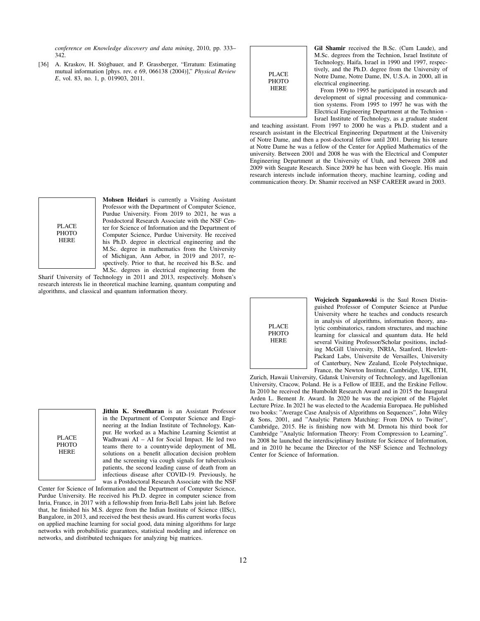*conference on Knowledge discovery and data mining*, 2010, pp. 333– 342.

<span id="page-11-0"></span>[36] A. Kraskov, H. Stögbauer, and P. Grassberger, "Erratum: Estimating mutual information [phys. rev. e 69, 066138 (2004)]," *Physical Review E*, vol. 83, no. 1, p. 019903, 2011.

PLACE **PHOTO** HERE

Gil Shamir received the B.Sc. (Cum Laude), and M.Sc. degrees from the Technion, Israel Institute of Technology, Haifa, Israel in 1990 and 1997, respectively, and the Ph.D. degree from the University of Notre Dame, Notre Dame, IN, U.S.A. in 2000, all in electrical engineering.

From 1990 to 1995 he participated in research and development of signal processing and communication systems. From 1995 to 1997 he was with the Electrical Engineering Department at the Technion - Israel Institute of Technology, as a graduate student

and teaching assistant. From 1997 to 2000 he was a Ph.D. student and a research assistant in the Electrical Engineering Department at the University of Notre Dame, and then a post-doctoral fellow until 2001. During his tenure at Notre Dame he was a fellow of the Center for Applied Mathematics of the university. Between 2001 and 2008 he was with the Electrical and Computer Engineering Department at the University of Utah, and between 2008 and 2009 with Seagate Research. Since 2009 he has been with Google. His main research interests include information theory, machine learning, coding and communication theory. Dr. Shamir received an NSF CAREER award in 2003.

PLACE **PHOTO** HERE

Mohsen Heidari is currently a Visiting Assistant Professor with the Department of Computer Science, Purdue University. From 2019 to 2021, he was a Postdoctoral Research Associate with the NSF Center for Science of Information and the Department of Computer Science, Purdue University. He received his Ph.D. degree in electrical engineering and the M.Sc. degree in mathematics from the University of Michigan, Ann Arbor, in 2019 and 2017, respectively. Prior to that, he received his B.Sc. and M.Sc. degrees in electrical engineering from the

Sharif University of Technology in 2011 and 2013, respectively. Mohsen's research interests lie in theoretical machine learning, quantum computing and algorithms, and classical and quantum information theory.

PLACE PHOTO HERE

Jithin K. Sreedharan is an Assistant Professor in the Department of Computer Science and Engineering at the Indian Institute of Technology, Kanpur. He worked as a Machine Learning Scientist at Wadhwani AI – AI for Social Impact. He led two teams there to a countrywide deployment of ML solutions on a benefit allocation decision problem and the screening via cough signals for tuberculosis patients, the second leading cause of death from an infectious disease after COVID-19. Previously, he was a Postdoctoral Research Associate with the NSF

Center for Science of Information and the Department of Computer Science, Purdue University. He received his Ph.D. degree in computer science from Inria, France, in 2017 with a fellowship from Inria-Bell Labs joint lab. Before that, he finished his M.S. degree from the Indian Institute of Science (IISc), Bangalore, in 2013, and received the best thesis award. His current works focus on applied machine learning for social good, data mining algorithms for large networks with probabilistic guarantees, statistical modeling and inference on networks, and distributed techniques for analyzing big matrices.

PLACE **PHOTO HERE** 

Wojciech Szpankowski is the Saul Rosen Distinguished Professor of Computer Science at Purdue University where he teaches and conducts research in analysis of algorithms, information theory, analytic combinatorics, random structures, and machine learning for classical and quantum data. He held several Visiting Professor/Scholar positions, including McGill University, INRIA, Stanford, Hewlett-Packard Labs, Universite de Versailles, University of Canterbury, New Zealand, Ecole Polytechnique, France, the Newton Institute, Cambridge, UK, ETH,

Zurich, Hawaii University, Gdansk University of Technology, and Jagellonian University, Cracow, Poland. He is a Fellow of IEEE, and the Erskine Fellow. In 2010 he received the Humboldt Research Award and in 2015 the Inaugural Arden L. Bement Jr. Award. In 2020 he was the recipient of the Flajolet Lecture Prize. In 2021 he was elected to the Academia Europaea. He published two books: "Average Case Analysis of Algorithms on Sequences", John Wiley & Sons, 2001, and "Analytic Pattern Matching: From DNA to Twitter", Cambridge, 2015. He is finishing now with M. Drmota his third book for Cambridge "Analytic Information Theory: From Compression to Learning". In 2008 he launched the interdisciplinary Institute for Science of Information, and in 2010 he became the Director of the NSF Science and Technology Center for Science of Information.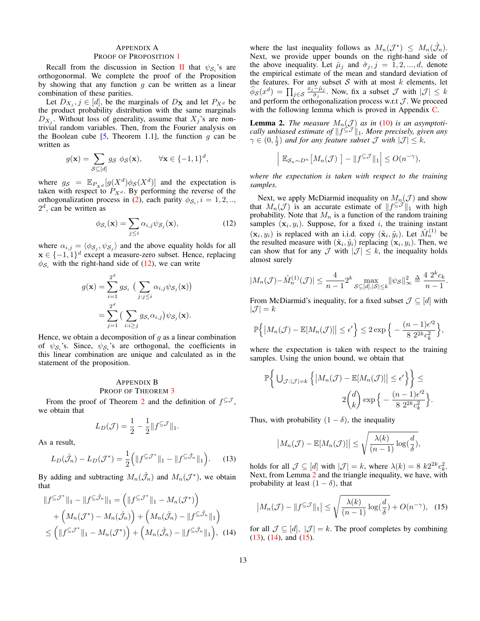# <span id="page-12-0"></span>APPENDIX A

## PROOF OF PROPOSITION [1](#page-2-0)

Recall from the discussion in Section [II](#page-2-3) that  $\psi_{\mathcal{S}_i}$ 's are orthogonormal. We complete the proof of the Proposition by showing that any function  $q$  can be written as a linear combination of these parities.

Let  $D_{X_j}$ ,  $j \in [d]$ , be the marginals of  $D_{\mathbf{X}}$  and let  $P_{X^d}$  be the product probability distribution with the same marginals  $D_{X_j}$ . Without loss of generality, assume that  $X_j$ 's are nontrivial random variables. Then, from the Fourier analysis on the Boolean cube [\[5,](#page-10-2) Theorem 1.1], the function q can be written as

$$
g(\mathbf{x}) = \sum_{\mathcal{S} \subseteq [d]} g_{\mathcal{S}} \phi_{\mathcal{S}}(\mathbf{x}), \qquad \forall \mathbf{x} \in \{-1, 1\}^d,
$$

where  $g_S = \mathbb{E}_{P_{X^d}}[g(X^d)\phi_S(X^d)]$  and the expectation is taken with respect to  $P_{X^d}$ . By performing the reverse of the orthogonalization process in [\(2\)](#page-2-2), each parity  $\phi_{\mathcal{S}_i}$ ,  $i = 1, 2, \dots$  $2^d$ , can be written as

$$
\phi_{\mathcal{S}_i}(\mathbf{x}) = \sum_{j \leq i} \alpha_{i,j} \psi_{\mathcal{S}_j}(\mathbf{x}), \tag{12}
$$

where  $\alpha_{i,j} = \langle \phi_{\mathcal{S}_j}, \psi_{\mathcal{S}_j} \rangle$  and the above equality holds for all  $x \in \{-1, 1\}^d$  except a measure-zero subset. Hence, replacing  $\phi_{\mathcal{S}_i}$  with the right-hand side of [\(12\)](#page-12-2), we can write

$$
g(\mathbf{x}) = \sum_{i=1}^{2^d} g_{\mathcal{S}_i} \left( \sum_{j:j \leq i} \alpha_{i,j} \psi_{\mathcal{S}_j}(\mathbf{x}) \right)
$$
  
= 
$$
\sum_{j=1}^{2^d} \left( \sum_{i:i \geq j} g_{\mathcal{S}_i} \alpha_{i,j} \right) \psi_{\mathcal{S}_j}(\mathbf{x}).
$$

Hence, we obtain a decomposition of  $q$  as a linear combination of  $\psi_{\mathcal{S}_i}$ 's. Since,  $\psi_{\mathcal{S}_i}$ 's are orthogonal, the coefficients in this linear combination are unique and calculated as in the statement of the proposition.

# <span id="page-12-1"></span>APPENDIX B PROOF OF THEOREM [3](#page-6-0)

From the proof of Theorem [2](#page-5-1) and the definition of  $f^{\subseteq J}$ , we obtain that

$$
L_D(\mathcal{J}) = \frac{1}{2} - \frac{1}{2} ||f^{\subseteq \mathcal{J}}||_1.
$$

As a result,

$$
L_D(\hat{\mathcal{J}}_n) - L_D(\mathcal{J}^*) = \frac{1}{2} \left( \| f^{\subseteq \mathcal{J}^*} \|_1 - \| f^{\subseteq \hat{\mathcal{J}}_n} \|_1 \right). \tag{13}
$$

By adding and subtracting  $M_n(\hat{\mathcal{J}}_n)$  and  $M_n(\mathcal{J}^*)$ , we obtain that

$$
||f^{\subseteq \mathcal{J}^*}||_1 - ||f^{\subseteq \hat{\mathcal{J}}_n}||_1 = \left(||f^{\subseteq \mathcal{J}^*}||_1 - M_n(\mathcal{J}^*)\right) + \left(M_n(\mathcal{J}^*) - M_n(\hat{\mathcal{J}}_n)\right) + \left(M_n(\hat{\mathcal{J}}_n) - ||f^{\subseteq \hat{\mathcal{J}}_n}||_1\right) \leq \left(||f^{\subseteq \mathcal{J}^*}||_1 - M_n(\mathcal{J}^*)\right) + \left(M_n(\hat{\mathcal{J}}_n) - ||f^{\subseteq \hat{\mathcal{J}}_n}||_1\right), (14)
$$

where the last inequality follows as  $M_n(\mathcal{J}^*) \leq M_n(\hat{\mathcal{J}}_n)$ . Next, we provide upper bounds on the right-hand side of the above inequality. Let  $\hat{\mu}_i$  and  $\hat{\sigma}_i$ ,  $j = 1, 2, ..., d$ , denote the empirical estimate of the mean and standard deviation of the features. For any subset  $S$  with at most  $k$  elements, let  $\widehat{\phi}_{\mathcal{S}}(x^d) = \prod_{j \in \mathcal{S}} \frac{x_j-\hat{\mu}_j}{\hat{\sigma}_j}$  $\frac{-\mu_j}{\hat{\sigma}_j}$ . Now, fix a subset  $\mathcal J$  with  $|\mathcal J| \leq k$ and perform the orthogonalization process w.r.t  $J$ . We proceed with the following lemma which is proved in Appendix [C.](#page-13-0)

<span id="page-12-3"></span>**Lemma 2.** The measure  $M_n(\mathcal{J})$  as in [\(10\)](#page-6-4) is an asymptoti*cally unbiased estimate of*  $|| f^{\subseteq J} ||_1$ *. More precisely, given any*  $\gamma \in (0, \frac{1}{2})$  and for any feature subset  $\mathcal{J}$  with  $|\mathcal{J}| \leq k$ ,

$$
\mathbb{E}_{\mathcal{S}_n \sim D^n} \big[ M_n(\mathcal{J}) \big] - \| f^{\subseteq \mathcal{J}} \|_1 \Big| \leq O(n^{-\gamma}),
$$

 $\overline{\phantom{a}}$  $\overline{\phantom{a}}$  $\mid$ 

*where the expectation is taken with respect to the training samples.*

<span id="page-12-2"></span>Next, we apply McDiarmid inequality on  $M_n(\mathcal{J})$  and show that  $M_n(\mathcal{J})$  is an accurate estimate of  $||f^{\subseteq \mathcal{J}}||_1$  with high probability. Note that  $M_n$  is a function of the random training samples  $(\mathbf{x}_i, y_i)$ . Suppose, for a fixed i, the training instant  $(\mathbf{x}_i, y_i)$  is replaced with an i.i.d. copy  $(\tilde{\mathbf{x}}_i, \tilde{y}_i)$ . Let  $\tilde{M}_n^{(1)}$  be the resulted measure with  $(\tilde{\mathbf{x}}_i, \tilde{y}_i)$  replacing  $(\mathbf{x}_i, y_i)$ . Then, we can show that for any  $\mathcal J$  with  $|\mathcal J| \leq k$ , the inequality holds almost surely

$$
|M_n(\mathcal{J}) - \tilde{M}_n^{(1)}(\mathcal{J})| \le \frac{4}{n-1} 2^k \max_{\mathcal{S} \subseteq [d], |\mathcal{S}| \le k} ||\psi_{\mathcal{S}}||_{\infty}^2 \triangleq \frac{4}{n-1} \frac{2^k c_k}{n-1}.
$$

From McDiarmid's inequality, for a fixed subset  $\mathcal{J} \subseteq [d]$  with  $|\mathcal{J}| = k$ 

$$
\mathbb{P}\left\{|M_n(\mathcal{J}) - \mathbb{E}[M_n(\mathcal{J})]| \leq \epsilon'\right\} \leq 2\exp\left\{-\frac{(n-1)\epsilon'^2}{8\ 2^{2k}c_k^2}\right\},\
$$

where the expectation is taken with respect to the training samples. Using the union bound, we obtain that

$$
\mathbb{P}\bigg\{\bigcup_{\mathcal{J}:|\mathcal{J}|=k}\left\{|M_n(\mathcal{J})-\mathbb{E}[M_n(\mathcal{J})]|\leq\epsilon'\right\}\bigg\}\leq
$$
  

$$
2\binom{d}{k}\exp\Big\{-\frac{(n-1)\epsilon'^2}{8\ 2^{2k}c_k^2}\Big\}.
$$

Thus, with probability  $(1 - \delta)$ , the inequality

<span id="page-12-6"></span>
$$
|M_n(\mathcal{J}) - \mathbb{E}[M_n(\mathcal{J})]| \le \sqrt{\frac{\lambda(k)}{(n-1)} \log(\frac{d}{\delta})},
$$

<span id="page-12-4"></span>holds for all  $\mathcal{J} \subseteq [d]$  with  $|\mathcal{J}| = k$ , where  $\lambda(k) = 8 k 2^{2k} c_k^2$ . Next, from Lemma [2](#page-12-3) and the triangle inequality, we have, with probability at least  $(1 - \delta)$ , that

$$
\left| M_n(\mathcal{J}) - \| f^{\subseteq \mathcal{J}} \|_1 \right| \le \sqrt{\frac{\lambda(k)}{(n-1)} \log(\frac{d}{\delta})} + O(n^{-\gamma}), \quad (15)
$$

<span id="page-12-5"></span>for all  $\mathcal{J} \subseteq [d], |\mathcal{J}| = k$ . The proof completes by combining [\(13\)](#page-12-4), [\(14\)](#page-12-5), and [\(15\)](#page-12-6).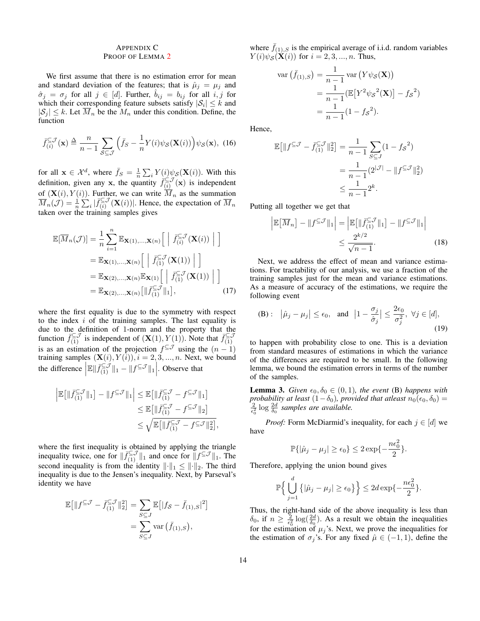# <span id="page-13-0"></span>APPENDIX C PROOF OF LEMMA [2](#page-12-3)

We first assume that there is no estimation error for mean and standard deviation of the features; that is  $\hat{\mu}_j = \mu_j$  and  $\hat{\sigma}_j = \sigma_j$  for all  $j \in [d]$ . Further,  $\hat{b}_{ij} = b_{ij}$  for all  $i, j$  for which their corresponding feature subsets satisfy  $|S_i| \leq k$  and  $|S_j| \leq k$ . Let  $\overline{M}_n$  be the  $M_n$  under this condition. Define, the function

$$
\bar{f}_{(i)}^{\subseteq \mathcal{J}}(\mathbf{x}) \triangleq \frac{n}{n-1} \sum_{\mathcal{S} \subseteq \mathcal{J}} \left( \bar{f}_{\mathcal{S}} - \frac{1}{n} Y(i) \psi_{\mathcal{S}}(\mathbf{X}(i)) \right) \psi_{\mathcal{S}}(\mathbf{x}), \tag{16}
$$

for all  $\mathbf{x} \in \mathcal{X}^d$ , where  $\bar{f}_S = \frac{1}{n} \sum_i Y(i) \psi_S(\mathbf{X}(i))$ . With this definition, given any x, the quantity  $\bar{f}_{(i)}^{\subseteq \mathcal{J}}$  $\sum_{(i)}^{\infty}$  (**x**) is independent of  $(X(i), Y(i))$ . Further, we can write  $M_n$  as the summation  $\overline{M}_n(\mathcal{J}) = \frac{1}{n} \sum_{i} \vert \bar{f}_{(i)}^{\subseteq \mathcal{J}}$  $\sum_{(i)}^{\infty}$   $(X(i))$ . Hence, the expectation of  $\overline{M}_n$ taken over the training samples gives

$$
\mathbb{E}[\overline{M}_n(\mathcal{J})] = \frac{1}{n} \sum_{i=1}^n \mathbb{E}_{\mathbf{X}(1),\dots,\mathbf{X}(n)} \left[ \left| \overline{f}_{(i)}^{\subseteq \mathcal{J}}(\mathbf{X}(i)) \right| \right]
$$
  
\n
$$
= \mathbb{E}_{\mathbf{X}(1),\dots,\mathbf{X}(n)} \left[ \left| \overline{f}_{(1)}^{\subseteq \mathcal{J}}(\mathbf{X}(1)) \right| \right]
$$
  
\n
$$
= \mathbb{E}_{\mathbf{X}(2),\dots,\mathbf{X}(n)} \mathbb{E}_{\mathbf{X}(1)} \left[ \left| \overline{f}_{(1)}^{\subseteq \mathcal{J}}(\mathbf{X}(1)) \right| \right]
$$
  
\n
$$
= \mathbb{E}_{\mathbf{X}(2),\dots,\mathbf{X}(n)} \left[ \left| \overline{f}_{(1)}^{\subseteq \mathcal{J}} \right| \right], \qquad (17)
$$

where the first equality is due to the symmetry with respect to the index  $i$  of the training samples. The last equality is due to the definition of 1-norm and the property that the function  $\bar{f}_{(1)}^{\subseteq J}$  is independent of  $(\mathbf{X}(1), Y(1))$ . Note that  $\bar{f}_{(1)}^{\subseteq J}$ (1) is as an estimation of the projection  $f^{\subseteq J}$  using the  $(n-1)$ training samples  $(\mathbf{X}(i), Y(i)), i = 2, 3, ..., n$ . Next, we bound the difference  $\left| \mathbb{E} \right| \bar{f}_{(1)}^{\subseteq \mathcal{J}} \|_1 - \| f^{\subseteq \mathcal{J}} \|_1 \right|$ . Observe that

$$
\left| \mathbb{E} \left[ \| \bar{f}_{(1)}^{\subseteq \mathcal{J}} \|_{1} \right] - \| f^{\subseteq \mathcal{J}} \|_{1} \right| \leq \mathbb{E} \left[ \| \bar{f}_{(1)}^{\subseteq \mathcal{J}} - f^{\subseteq \mathcal{J}} \|_{1} \right]
$$
  

$$
\leq \mathbb{E} \left[ \| \bar{f}_{(1)}^{\subseteq \mathcal{J}} - f^{\subseteq \mathcal{J}} \|_{2} \right]
$$
  

$$
\leq \sqrt{\mathbb{E} \left[ \| \bar{f}_{(1)}^{\subseteq \mathcal{J}} - f^{\subseteq \mathcal{J}} \|_{2}^{2} \right]},
$$

where the first inequality is obtained by applying the triangle inequality twice, one for  $\|\bar{f}_{(1)}^{\subseteq \mathcal{J}}\|_1$  and once for  $\|f^{\subseteq \mathcal{J}}\|_1$ . The second inequality is from the identity  $\|\cdot\|_1 \leq \|\cdot\|_2$ . The third inequality is due to the Jensen's inequality. Next, by Parseval's identity we have

$$
\mathbb{E}\big[\|f^{\subseteq \mathcal{J}} - \bar{f}_{(1)}^{\subseteq \mathcal{J}}\|_2^2\big] = \sum_{S \subseteq J} \mathbb{E}\big[|f_S - \bar{f}_{(1),S}|^2\big] \n= \sum_{S \subseteq J} \text{var}(\bar{f}_{(1),S}),
$$

where  $\bar{f}_{(1),S}$  is the empirical average of i.i.d. random variables  $Y(i)\psi_{\mathcal{S}}(\mathbf{X}(i))$  for  $i = 2,3,...,n$ . Thus,

$$
\begin{aligned} \text{var}\left(\bar{f}_{(1),S}\right) &= \frac{1}{n-1} \text{var}\left(Y\psi_{\mathcal{S}}(\mathbf{X})\right) \\ &= \frac{1}{n-1} \left(\mathbb{E}\left[Y^2 \psi_{\mathcal{S}}^2(\mathbf{X})\right] - f_{\mathcal{S}}^2\right) \\ &= \frac{1}{n-1} (1 - f_{\mathcal{S}}^2). \end{aligned}
$$

<span id="page-13-2"></span>Hence,

$$
\mathbb{E}[\|f^{\subseteq \mathcal{J}} - \bar{f}_{(1)}^{\subseteq \mathcal{J}}\|_2^2] = \frac{1}{n-1} \sum_{S \subseteq J} (1 - fs^2)
$$

$$
= \frac{1}{n-1} (2^{|\mathcal{J}|} - \|f^{\subseteq \mathcal{J}}\|_2^2)
$$

$$
\leq \frac{1}{n-1} 2^k.
$$

Putting all together we get that

<span id="page-13-1"></span>
$$
\left| \mathbb{E}\left[\overline{M}_n\right] - \|f^{\subseteq \mathcal{J}}\|_1 \right| = \left| \mathbb{E}\left[\|\overline{f}_{(1)}^{\subseteq \mathcal{J}}\|_1\right] - \|f^{\subseteq \mathcal{J}}\|_1 \right|
$$
  

$$
\leq \frac{2^{k/2}}{\sqrt{n-1}}.
$$
 (18)

Next, we address the effect of mean and variance estimations. For tractability of our analysis, we use a fraction of the training samples just for the mean and variance estimations. As a measure of accuracy of the estimations, we require the following event

(B): 
$$
|\hat{\mu}_j - \mu_j| \le \epsilon_0
$$
, and  $|1 - \frac{\sigma_j}{\hat{\sigma}_j}| \le \frac{2\epsilon_0}{\sigma_j^2}$ ,  $\forall j \in [d]$ , (19)

to happen with probability close to one. This is a deviation from standard measures of estimations in which the variance of the differences are required to be small. In the following lemma, we bound the estimation errors in terms of the number of the samples.

**Lemma 3.** *Given*  $\epsilon_0, \delta_0 \in (0, 1)$ *, the event* (B) *happens with probability at least*  $(1-\delta_0)$ *, provided that atleast*  $n_0(\epsilon_0, \delta_0)$  =  $\frac{2}{\epsilon_0^2} \log \frac{2d}{\delta_0}$  samples are available.

*Proof:* Form McDiarmid's inequality, for each  $j \in [d]$  we have

$$
\mathbb{P}\{|\hat{\mu}_j - \mu_j| \ge \epsilon_0\} \le 2\exp\{-\frac{n\epsilon_0^2}{2}\}.
$$

Therefore, applying the union bound gives

$$
\mathbb{P}\Big\{\bigcup_{j=1}^d\big\{|\hat{\mu}_j-\mu_j|\geq\epsilon_0\big\}\Big\}\leq 2d\exp\{-\frac{n\epsilon_0^2}{2}\}.
$$

Thus, the right-hand side of the above inequality is less than  $\delta_0$ , if  $n \geq \frac{2}{\epsilon_0^2} \log(\frac{2d}{\delta_0})$ . As a result we obtain the inequalities for the estimation of  $\mu_j$ 's. Next, we prove the inequalities for the estimation of  $\sigma_j$ 's. For any fixed  $\hat{\mu} \in (-1, 1)$ , define the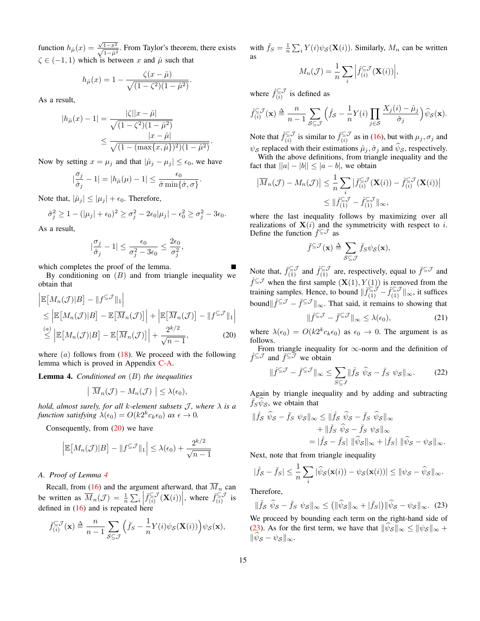function  $h_{\hat{\mu}}(x) = \frac{\sqrt{1-x^2}}{\sqrt{1-\hat{\mu}^2}}$ . From Taylor's theorem, there exists  $\zeta \in (-1, 1)$  which is between x and  $\hat{\mu}$  such that

$$
h_{\hat{\mu}}(x) = 1 - \frac{\zeta(x - \hat{\mu})}{\sqrt{(1 - \zeta^2)(1 - \hat{\mu}^2)}}.
$$

As a result,

$$
|h_{\hat{\mu}}(x) - 1| = \frac{|\zeta||x - \hat{\mu}|}{\sqrt{(1 - \zeta^2)(1 - \hat{\mu}^2)}}
$$
  
 
$$
\leq \frac{|x - \hat{\mu}|}{\sqrt{(1 - (\max\{x, \hat{\mu}\})^2)(1 - \hat{\mu}^2)}}.
$$

Now by setting  $x = \mu_j$  and that  $|\hat{\mu}_j - \mu_j| \le \epsilon_0$ , we have

$$
|\frac{\sigma_j}{\hat{\sigma}_j} - 1| = |h_{\hat{\mu}}(\mu) - 1| \le \frac{\epsilon_0}{\hat{\sigma}\min\{\hat{\sigma}, \sigma\}}.
$$

Note that,  $|\hat{\mu}_j| \leq |\mu_j| + \epsilon_0$ . Therefore,

$$
\hat{\sigma}_j^2 \ge 1 - (|\mu_j| + \epsilon_0)^2 \ge \sigma_j^2 - 2\epsilon_0 |\mu_j| - \epsilon_0^2 \ge \sigma_j^2 - 3\epsilon_0.
$$

As a result,

$$
|\frac{\sigma_j}{\hat{\sigma}_j}-1|\leq \frac{\epsilon_0}{\sigma_j^2-3\epsilon_0}\leq \frac{2\epsilon_0}{\sigma_j^2},
$$

which completes the proof of the lemma.

By conditioning on  $(B)$  and from triangle inequality we obtain that

$$
\begin{aligned} &\left| \mathbb{E}\left[M_n(\mathcal{J})|B\right] - \|f^{\subseteq \mathcal{J}}\|_1 \right| \\ &\le \left| \mathbb{E}\left[M_n(\mathcal{J})|B\right] - \mathbb{E}\left[\overline{M}_n(\mathcal{J})\right] \right| + \left| \mathbb{E}\left[\overline{M}_n(\mathcal{J})\right] - \|f^{\subseteq \mathcal{J}}\|_1 \right| \\ &\stackrel{(a)}{\le} \left| \mathbb{E}\left[M_n(\mathcal{J})|B\right] - \mathbb{E}\left[\overline{M}_n(\mathcal{J})\right] \right| + \frac{2^{k/2}}{\sqrt{n-1}}, \end{aligned} \tag{20}
$$

where  $(a)$  follows from  $(18)$ . We proceed with the following lemma which is proved in Appendix [C-A.](#page-14-0)

<span id="page-14-2"></span>Lemma 4. *Conditioned on* (B) *the inequalities*

$$
\left| \overline{M}_n(\mathcal{J}) - M_n(\mathcal{J}) \right| \leq \lambda(\epsilon_0),
$$

*hold, almost surely, for all k-element subsets*  $\mathcal{J}$ *, where*  $\lambda$  *is a function satisfying*  $\dot{\lambda}(\epsilon_0) = O(k2^k c_k \epsilon_0)$  *as*  $\epsilon \to 0$ *.* 

Consequently, from  $(20)$  we have

$$
\left| \mathbb{E}\big[M_n(\mathcal{J})|B\big] - \|f^{\subseteq \mathcal{J}}\|_1 \right| \leq \lambda(\epsilon_0) + \frac{2^{k/2}}{\sqrt{n-1}}
$$

## <span id="page-14-0"></span>*A. Proof of Lemma [4](#page-14-2)*

Recall, from [\(16\)](#page-13-2) and the argument afterward, that  $\overline{M}_n$  can be written as  $\overline{M}_n(\mathcal{J}) = \frac{1}{n} \sum_i \left| \overline{f}_{(i)}^{\subseteq} \mathcal{J} \right|$ defined in [\(16\)](#page-13-2) and is repeated here  $\left| \sum_{(i)}^{i \subseteq \mathcal{J}} (\mathbf{X}(i)) \right|$ , where  $\bar{f}^{\subseteq \mathcal{J}}_{(i)}$  $\frac{\sum_{i=1}^{n} j}{i}$  is

$$
\bar{f}_{(i)}^{\subseteq \mathcal{J}}(\mathbf{x}) \triangleq \frac{n}{n-1} \sum_{\mathcal{S} \subseteq \mathcal{J}} \left( \bar{f}_{\mathcal{S}} - \frac{1}{n} Y(i) \psi_{\mathcal{S}}(\mathbf{X}(i)) \right) \psi_{\mathcal{S}}(\mathbf{x}),
$$

with  $\bar{f}_S = \frac{1}{n} \sum_i Y(i) \psi_S(\mathbf{X}(i))$ . Similarly,  $M_n$  can be written as

$$
M_n(\mathcal{J}) = \frac{1}{n} \sum_i \left| \hat{f}_{(i)}^{\subseteq \mathcal{J}}(\mathbf{X}(i)) \right|,
$$

where  $\hat{f}_{(i)}^{\subseteq J}$  $\sum_{(i)}^{\infty}$  is defined as

$$
\hat{f}_{(i)}^{\subseteq \mathcal{J}}(\mathbf{x}) \triangleq \frac{n}{n-1} \sum_{\mathcal{S} \subseteq \mathcal{J}} \left( \hat{f}_{\mathcal{S}} - \frac{1}{n} Y(i) \prod_{j \in \mathcal{S}} \frac{X_j(i) - \hat{\mu}_j}{\hat{\sigma}_j} \right) \hat{\psi}_{\mathcal{S}}(\mathbf{x}).
$$

Note that  $\hat{f}_{(i)}^{\subseteq J}$  $\int_{(i)}^{\infty} \frac{\zeta}{\zeta(s)}$  is similar to  $\bar{f}^{\subseteq J}_{(i)}$  $(\xi_i)$  as in [\(16\)](#page-13-2), but with  $\mu_j$ ,  $\sigma_j$  and  $\psi_{\mathcal{S}}$  replaced with their estimations  $\hat{\mu}_j, \hat{\sigma}_j$  and  $\hat{\psi}_{\mathcal{S}}$ , respectively. With the above definitions, from triangle inequality and the fact that  $||a| - |b|| \leq |a - b|$ , we obtain

$$
\left|\overline{M}_n(\mathcal{J}) - M_n(\mathcal{J})\right| \leq \frac{1}{n} \sum_i \left|\overline{f}_{(i)}^{\subseteq \mathcal{J}}(\mathbf{X}(i)) - \hat{f}_{(i)}^{\subseteq \mathcal{J}}(\mathbf{X}(i))\right|
$$
  

$$
\leq \|\overline{f}_{(1)}^{\subseteq \mathcal{J}} - \hat{f}_{(1)}^{\subseteq \mathcal{J}}\|_{\infty},
$$

where the last inequality follows by maximizing over all realizations of  $X(i)$  and the symmetricity with respect to i. Define the function  $\overline{f}^{\subseteq} \mathcal{J}$  as

$$
\bar{f}^{\subseteq \mathcal{J}}(\mathbf{x}) \stackrel{\triangle}{=} \sum_{\mathcal{S} \subseteq \mathcal{J}} \bar{f}_{\mathcal{S}} \psi_{\mathcal{S}}(\mathbf{x}),
$$

Note that,  $\bar{f}_{(1)}^{\subseteq \mathcal{J}}$  and  $\hat{f}_{(1)}^{\subseteq \mathcal{J}}$  are, respectively, equal to  $\bar{f}^{\subseteq \mathcal{J}}$  and  $\hat{f}^{\subseteq J}$  when the first sample  $(\mathbf{X}(1), Y(1))$  is removed from the training samples. Hence, to bound  $\|\bar{f}_{(1)}^{\subseteq \mathcal{J}} - \hat{f}_{(1)}^{\subseteq \mathcal{J}}\|_{\infty}$ , it suffices bound $\|\hat{f}^{\subseteq J} - \bar{f}^{\subseteq J}\|_{\infty}$ . That said, it remains to showing that

<span id="page-14-4"></span>
$$
\|\hat{f}^{\subseteq \mathcal{J}} - \bar{f}^{\subseteq \mathcal{J}}\|_{\infty} \le \lambda(\epsilon_0),\tag{21}
$$

<span id="page-14-1"></span>where  $\lambda(\epsilon_0) = O(k2^k c_k \epsilon_0)$  as  $\epsilon_0 \to 0$ . The argument is as follows.

From triangle inequality for ∞-norm and the definition of  $\hat{f}^{\subseteq J}$  and  $\overline{f}^{\subseteq J}$  we obtain

$$
\|\hat{f}^{\subseteq \mathcal{J}} - \bar{f}^{\subseteq \mathcal{J}}\|_{\infty} \le \sum_{S \subseteq J} \|\hat{f}_S \ \hat{\psi}_S - \bar{f}_S \ \psi_S\|_{\infty}.
$$
 (22)

Again by triangle inequality and by adding and subtracting  $\bar{f}_S \psi_S$ , we obtain that

$$
\|\hat{f}s\ \hat{\psi}s - \bar{f}s\ \psi s\|_{\infty} \le \|\hat{f}s\ \hat{\psi}s - \bar{f}s\ \hat{\psi}s\|_{\infty} \n+ \|\bar{f}s\ \hat{\psi}s - \bar{f}s\ \psi s\|_{\infty} \n= |\hat{f}s - \bar{f}s| \ \|\hat{\psi}s\|_{\infty} + |\bar{f}s| \ \|\hat{\psi}s - \psi s\|_{\infty}.
$$

Next, note that from triangle inequality

$$
|\hat{f}_{\mathcal{S}} - \bar{f}_{\mathcal{S}}| \leq \frac{1}{n} \sum_{i} |\widehat{\psi}_{\mathcal{S}}(\mathbf{x}(i)) - \psi_{\mathcal{S}}(\mathbf{x}(i))| \leq ||\psi_{\mathcal{S}} - \widehat{\psi}_{\mathcal{S}}||_{\infty}.
$$

Therefore,

<span id="page-14-3"></span>
$$
\|\hat{f}_{\mathcal{S}}\ \hat{\psi}_{\mathcal{S}} - \bar{f}_{\mathcal{S}}\ \psi_{\mathcal{S}}\|_{\infty} \le \left(\|\hat{\psi}_{\mathcal{S}}\|_{\infty} + |\bar{f}_{\mathcal{S}}|\right) \|\hat{\psi}_{\mathcal{S}} - \psi_{\mathcal{S}}\|_{\infty}.\tag{23}
$$
  
We proceed by bounding each term on the right-hand side of

[\(23\)](#page-14-3). As for the first term, we have that  $\|\hat{\psi}_{\mathcal{S}}\|_{\infty} \leq \|\psi_{\mathcal{S}}\|_{\infty} +$  $\|\widehat{\psi}_{\mathcal{S}} - \psi_{\mathcal{S}}\|_{\infty}$ .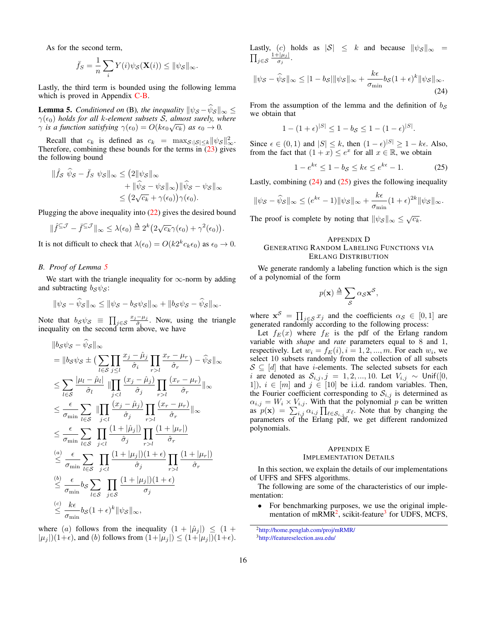As for the second term,

$$
\bar{f}_S = \frac{1}{n} \sum_i Y(i) \psi_S(\mathbf{X}(i)) \le ||\psi_S||_{\infty}.
$$

Lastly, the third term is bounded using the following lemma which is proved in Appendix [C-B.](#page-15-2)

<span id="page-15-3"></span>**Lemma 5.** *Conditioned on* (B), the inequality  $\|\psi_{\mathcal{S}} - \psi_{\mathcal{S}}\|_{\infty} \leq$  $γ(ε<sub>0</sub>)$  *holds for all k-element subsets S, almost surely, where*  $\gamma$  *is a function satisfying*  $\gamma(\epsilon_0) = O(k\epsilon_0\sqrt{c_k})$  *as*  $\epsilon_0 \to 0$ *.* 

Recall that  $c_k$  is defined as  $c_k = \max_{\mathcal{S}: |\mathcal{S}| \leq k} ||\psi_{\mathcal{S}}||_{\infty}^2$ . Therefore, combining these bounds for the terms in  $(23)$  gives the following bound

$$
\|\hat{f}s\ \hat{\psi}s - \bar{f}s\ \psi s\|_{\infty} \le (2\|\psi s\|_{\infty} \n+ \|\hat{\psi}s - \psi s\|_{\infty})\|\hat{\psi}s - \psi s\|_{\infty} \n\le (2\sqrt{c_k} + \gamma(\epsilon_0))\gamma(\epsilon_0).
$$

Plugging the above inequality into  $(22)$  gives the desired bound

$$
\|\hat{f}^{\subseteq \mathcal{J}} - \bar{f}^{\subseteq \mathcal{J}}\|_{\infty} \leq \lambda(\epsilon_0) \stackrel{\Delta}{=} 2^k \big(2\sqrt{c_k}\gamma(\epsilon_0) + \gamma^2(\epsilon_0)\big).
$$

It is not difficult to check that  $\lambda(\epsilon_0) = O(k2^k c_k \epsilon_0)$  as  $\epsilon_0 \to 0$ .

# <span id="page-15-2"></span>*B. Proof of Lemma [5](#page-15-3)*

We start with the triangle inequality for  $\infty$ -norm by adding and subtracting  $b_{\mathcal{S}} \psi_{\mathcal{S}}$ :

$$
\|\psi_{\mathcal{S}} - \widehat{\psi}_{\mathcal{S}}\|_{\infty} \le \|\psi_{\mathcal{S}} - b_{\mathcal{S}}\psi_{\mathcal{S}}\|_{\infty} + \|b_{\mathcal{S}}\psi_{\mathcal{S}} - \widehat{\psi}_{\mathcal{S}}\|_{\infty}.
$$

Note that  $b_{\mathcal{S}}\psi_{\mathcal{S}} \equiv \prod_{j\in\mathcal{S}} \frac{x_j-\mu_j}{\hat{\sigma}_i}$  $\frac{-\mu_j}{\hat{\sigma}_i}$ . Now, using the triangle inequality on the second term above, we have

$$
||b_{S}\psi_{S} - \psi_{S}||_{\infty}
$$
\n
$$
= ||b_{S}\psi_{S} \pm (\sum_{l\in S}\prod_{j\leq l}\frac{x_{j} - \hat{\mu}_{j}}{\hat{\sigma}_{i}}\prod_{r>l}\frac{x_{r} - \mu_{r}}{\hat{\sigma}_{r}}) - \hat{\psi}_{S}||_{\infty}
$$
\n
$$
\leq \sum_{l\in S}\frac{|\mu_{l} - \hat{\mu}_{l}|}{\hat{\sigma}_{l}} ||\prod_{jl}\frac{(x_{r} - \mu_{r})}{\hat{\sigma}_{r}}||_{\infty}
$$
\n
$$
\leq \frac{\epsilon}{\sigma_{\min}} \sum_{l\in S}\prod_{jl}\frac{(x_{r} - \mu_{r})}{\hat{\sigma}_{r}}||_{\infty}
$$
\n
$$
\leq \frac{\epsilon}{\sigma_{\min}} \sum_{l\in S}\prod_{jl}\frac{(1 + |\mu_{r}|)}{\hat{\sigma}_{r}}
$$
\n
$$
\leq \frac{\epsilon}{\sigma_{\min}} \sum_{l\in S}\prod_{jl}\frac{(1 + |\mu_{r}|)}{\hat{\sigma}_{r}}
$$
\n
$$
\leq \frac{\epsilon}{\sigma_{\min}} b_{S}\sum_{l\in S}\prod_{j\in S}\frac{(1 + |\mu_{j}|)(1 + \epsilon)}{\sigma_{j}}
$$
\n
$$
\leq \frac{\epsilon}{\sigma_{\min}} b_{S}(1 + \epsilon)^{k} ||\psi_{S}||_{\infty},
$$

where (a) follows from the inequality  $(1 + |\hat{\mu}_i|) \leq (1 +$  $|\mu_j|$ )(1+ $\epsilon$ ), and (b) follows from  $(1+|\mu_j|) \leq (1+|\mu_j|)(1+\epsilon)$ . Lastly, (c) holds as  $|S| \leq k$  and because  $\|\psi_{\mathcal{S}}\|_{\infty} =$  $\prod_{j\in\mathcal{S}}\frac{1+|\mu_j|}{\sigma_j}$  $\frac{-|\mu_j|}{\sigma_j}$ .

$$
\|\psi_{\mathcal{S}} - \widehat{\psi}_{\mathcal{S}}\|_{\infty} \le |1 - b_{\mathcal{S}}| \|\psi_{\mathcal{S}}\|_{\infty} + \frac{k\epsilon}{\sigma_{\min}} b_{\mathcal{S}} (1 + \epsilon)^{k} \|\psi_{\mathcal{S}}\|_{\infty}.
$$
\n(24)

From the assumption of the lemma and the definition of  $b<sub>S</sub>$ we obtain that

<span id="page-15-4"></span>
$$
1 - (1 + \epsilon)^{|S|} \le 1 - b_{S} \le 1 - (1 - \epsilon)^{|S|}.
$$

Since  $\epsilon \in (0,1)$  and  $|S| \leq k$ , then  $(1 - \epsilon)^{|S|} \geq 1 - k\epsilon$ . Also, from the fact that  $(1 + x) \le e^x$  for all  $x \in \mathbb{R}$ , we obtain

<span id="page-15-5"></span>
$$
1 - e^{k\epsilon} \le 1 - b_{\mathcal{S}} \le k\epsilon \le e^{k\epsilon} - 1. \tag{25}
$$

Lastly, combining  $(24)$  and  $(25)$  gives the following inequality

$$
\|\psi_{\mathcal{S}} - \widehat{\psi}_{\mathcal{S}}\|_{\infty} \le (e^{k\epsilon} - 1) \|\psi_{\mathcal{S}}\|_{\infty} + \frac{k\epsilon}{\sigma_{\min}} (1 + \epsilon)^{2k} \|\psi_{\mathcal{S}}\|_{\infty}.
$$

The proof is complete by noting that  $\|\psi_{\mathcal{S}}\|_{\infty} \leq \sqrt{c_k}$ .

#### APPENDIX D GENERATING RANDOM LABELING FUNCTIONS VIA ERLANG DISTRIBUTION

We generate randomly a labeling function which is the sign of a polynomial of the form

<span id="page-15-0"></span>
$$
p(\mathbf{x}) \stackrel{\Delta}{=} \sum_{\mathcal{S}} \alpha_{\mathcal{S}} \mathbf{x}^{\mathcal{S}},
$$

where  $x^S = \prod_{j \in S} x_j$  and the coefficients  $\alpha_S \in [0,1]$  are generated randomly according to the following process:

Let  $f_E(x)$  where  $f_E$  is the pdf of the Erlang random variable with *shape* and *rate* parameters equal to 8 and 1, respectively. Let  $w_i = f_E(i), i = 1, 2, ..., m$ . For each  $w_i$ , we select 10 subsets randomly from the collection of all subsets  $S \subseteq [d]$  that have *i*-elements. The selected subsets for each i are denoted as  $S_{i,j}$ , j = 1, 2, ..., 10. Let  $V_{i,j} \sim$  Unif([0, 1]),  $i \in [m]$  and  $j \in [10]$  be i.i.d. random variables. Then, the Fourier coefficient corresponding to  $S_{i,j}$  is determined as  $\alpha_{i,j} = W_i \times V_{i,j}$ . With that the polynomial p can be written as  $p(\mathbf{x}) = \sum_{i,j} \alpha_{i,j} \prod_{\ell \in S_{i,j}} x_{\ell}$ . Note that by changing the parameters of the Erlang pdf, we get different randomized polynomials.

#### <span id="page-15-1"></span>APPENDIX E IMPLEMENTATION DETAILS

In this section, we explain the details of our implementations of UFFS and SFFS algorithms.

The following are some of the characteristics of our implementation:

• For benchmarking purposes, we use the original imple-mentation of mRMR<sup>[2](#page-15-6)</sup>, scikit-feature<sup>[3](#page-15-7)</sup> for UDFS, MCFS,

<span id="page-15-7"></span><span id="page-15-6"></span><sup>2</sup><http://home.penglab.com/proj/mRMR/> <sup>3</sup><http://featureselection.asu.edu/>